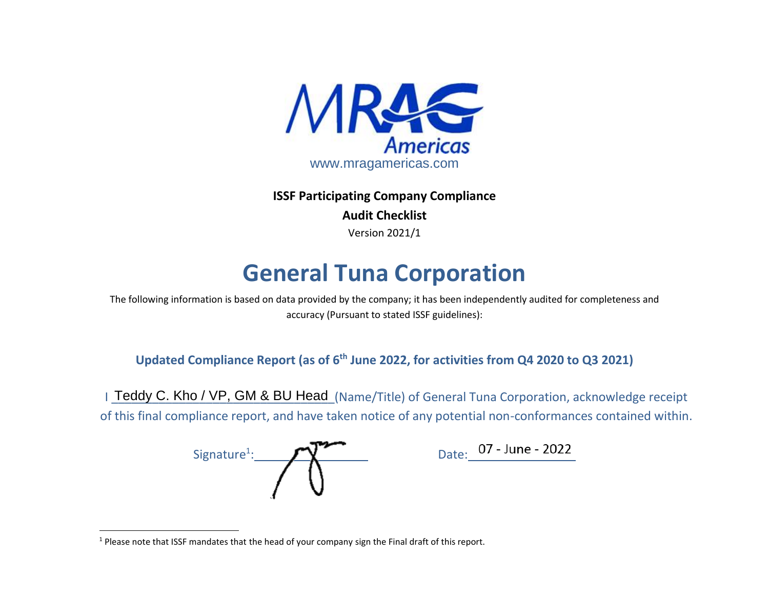

**ISSF Participating Company Compliance Audit Checklist** Version 2021/1

## **General Tuna Corporation**

The following information is based on data provided by the company; it has been independently audited for completeness and accuracy (Pursuant to stated ISSF guidelines):

**Updated Compliance Report (as of 6 th June 2022, for activities from Q4 2020 to Q3 2021)**

I Teddy C. Kho / VP, GM & BU Head (Name/Title) of General Tuna Corporation, acknowledge receipt of this final compliance report, and have taken notice of any potential non-conformances contained within.

 $Signature<sup>1</sup>:$ 

Date: 07 - June - 2022

 $1$  Please note that ISSF mandates that the head of your company sign the Final draft of this report.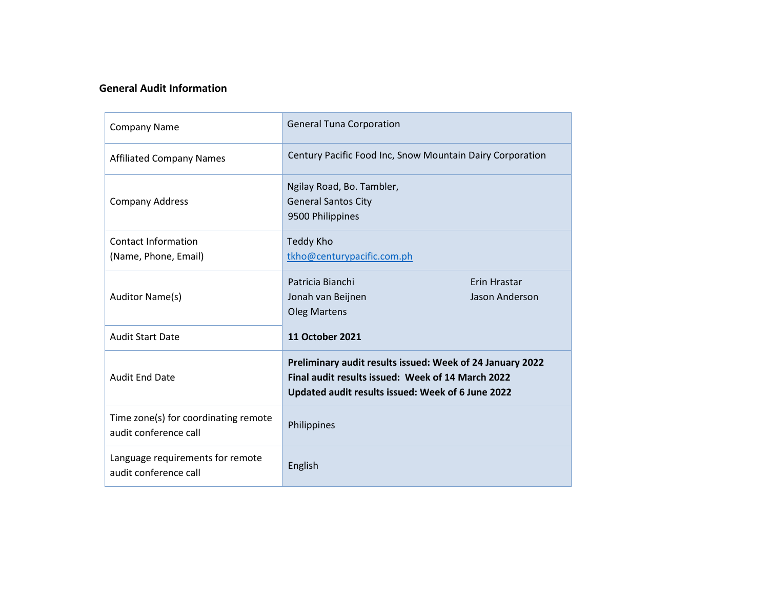## **General Audit Information**

| <b>Company Name</b>                                           | <b>General Tuna Corporation</b>                                                                                                                                     |                |  |  |  |  |
|---------------------------------------------------------------|---------------------------------------------------------------------------------------------------------------------------------------------------------------------|----------------|--|--|--|--|
| <b>Affiliated Company Names</b>                               | Century Pacific Food Inc, Snow Mountain Dairy Corporation                                                                                                           |                |  |  |  |  |
| <b>Company Address</b>                                        | Ngilay Road, Bo. Tambler,<br><b>General Santos City</b><br>9500 Philippines                                                                                         |                |  |  |  |  |
| <b>Contact Information</b><br>(Name, Phone, Email)            | Teddy Kho<br>tkho@centurypacific.com.ph                                                                                                                             |                |  |  |  |  |
|                                                               |                                                                                                                                                                     |                |  |  |  |  |
|                                                               | Patricia Bianchi                                                                                                                                                    | Erin Hrastar   |  |  |  |  |
| Auditor Name(s)                                               | Jonah van Beijnen<br><b>Oleg Martens</b>                                                                                                                            | Jason Anderson |  |  |  |  |
|                                                               |                                                                                                                                                                     |                |  |  |  |  |
| <b>Audit Start Date</b>                                       | <b>11 October 2021</b>                                                                                                                                              |                |  |  |  |  |
| <b>Audit End Date</b>                                         | Preliminary audit results issued: Week of 24 January 2022<br>Final audit results issued: Week of 14 March 2022<br>Updated audit results issued: Week of 6 June 2022 |                |  |  |  |  |
| Time zone(s) for coordinating remote<br>audit conference call | Philippines                                                                                                                                                         |                |  |  |  |  |
| Language requirements for remote<br>audit conference call     | English                                                                                                                                                             |                |  |  |  |  |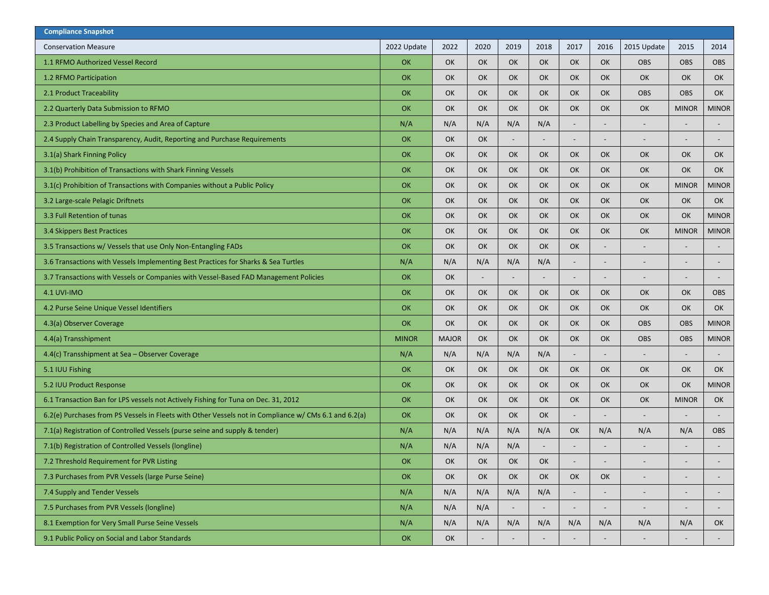| <b>Compliance Snapshot</b>                                                                            |              |              |                          |                          |                          |                          |                              |                          |              |              |
|-------------------------------------------------------------------------------------------------------|--------------|--------------|--------------------------|--------------------------|--------------------------|--------------------------|------------------------------|--------------------------|--------------|--------------|
| <b>Conservation Measure</b>                                                                           | 2022 Update  | 2022         | 2020                     | 2019                     | 2018                     | 2017                     | 2016                         | 2015 Update              | 2015         | 2014         |
| 1.1 RFMO Authorized Vessel Record                                                                     | OK           | OK           | OK                       | OK                       | OK                       | OK                       | OK                           | <b>OBS</b>               | <b>OBS</b>   | <b>OBS</b>   |
| 1.2 RFMO Participation                                                                                | OK           | OK           | OK                       | OK                       | OK                       | OK                       | OK                           | OK                       | OK           | OK           |
| 2.1 Product Traceability                                                                              | <b>OK</b>    | OK           | OK                       | OK                       | OK                       | OK                       | OK                           | <b>OBS</b>               | <b>OBS</b>   | OK           |
| 2.2 Quarterly Data Submission to RFMO                                                                 | OK           | OK           | OK                       | <b>OK</b>                | OK                       | OK                       | OK                           | OK                       | <b>MINOR</b> | <b>MINOR</b> |
| 2.3 Product Labelling by Species and Area of Capture                                                  | N/A          | N/A          | N/A                      | N/A                      | N/A                      |                          | $\qquad \qquad \blacksquare$ | $\overline{\phantom{a}}$ |              |              |
| 2.4 Supply Chain Transparency, Audit, Reporting and Purchase Requirements                             | OK           | OK           | OK                       | $\overline{\phantom{a}}$ |                          | $\overline{\phantom{a}}$ | $\qquad \qquad \blacksquare$ | $\overline{\phantom{a}}$ |              |              |
| 3.1(a) Shark Finning Policy                                                                           | OK           | OK           | OK                       | OK                       | OK                       | OK                       | OK                           | <b>OK</b>                | OK           | OK           |
| 3.1(b) Prohibition of Transactions with Shark Finning Vessels                                         | OK           | OK           | OK                       | OK                       | OK                       | OK                       | OK                           | OK                       | OK           | OK           |
| 3.1(c) Prohibition of Transactions with Companies without a Public Policy                             | OK           | OK           | OK                       | OK                       | OK                       | OK                       | OK                           | OK                       | <b>MINOR</b> | <b>MINOR</b> |
| 3.2 Large-scale Pelagic Driftnets                                                                     | OK           | OK           | OK                       | <b>OK</b>                | OK                       | OK                       | OK                           | <b>OK</b>                | OK           | OK           |
| 3.3 Full Retention of tunas                                                                           | OK           | OK           | OK                       | OK                       | OK                       | OK                       | OK                           | OK                       | OK           | <b>MINOR</b> |
| 3.4 Skippers Best Practices                                                                           | OK           | OK           | OK                       | OK                       | OK                       | OK                       | OK                           | OK                       | <b>MINOR</b> | <b>MINOR</b> |
| 3.5 Transactions w/ Vessels that use Only Non-Entangling FADs                                         | OK           | OK           | OK                       | OK                       | OK                       | OK                       | $\qquad \qquad \blacksquare$ | $\overline{\phantom{0}}$ |              |              |
| 3.6 Transactions with Vessels Implementing Best Practices for Sharks & Sea Turtles                    | N/A          | N/A          | N/A                      | N/A                      | N/A                      | $\overline{\phantom{a}}$ | $\overline{\phantom{a}}$     | $\overline{\phantom{a}}$ |              |              |
| 3.7 Transactions with Vessels or Companies with Vessel-Based FAD Management Policies                  | OK           | OK           |                          |                          |                          |                          |                              |                          |              |              |
| <b>4.1 UVI-IMO</b>                                                                                    | OK           | OK           | OK                       | OK                       | OK                       | OK                       | OK                           | OK                       | OK           | <b>OBS</b>   |
| 4.2 Purse Seine Unique Vessel Identifiers                                                             | OK           | OK           | OK                       | OK                       | OK                       | OK                       | OK                           | OK                       | OK           | OK           |
| 4.3(a) Observer Coverage                                                                              | OK           | OK           | OK                       | OK                       | OK                       | OK                       | OK                           | <b>OBS</b>               | <b>OBS</b>   | <b>MINOR</b> |
| 4.4(a) Transshipment                                                                                  | <b>MINOR</b> | <b>MAJOR</b> | OK                       | OK                       | OK                       | OK                       | OK                           | <b>OBS</b>               | <b>OBS</b>   | <b>MINOR</b> |
| 4.4(c) Transshipment at Sea - Observer Coverage                                                       | N/A          | N/A          | N/A                      | N/A                      | N/A                      |                          | $\qquad \qquad \blacksquare$ |                          |              |              |
| 5.1 IUU Fishing                                                                                       | OK           | OK           | OK                       | <b>OK</b>                | OK                       | OK                       | OK                           | <b>OK</b>                | OK           | OK           |
| 5.2 IUU Product Response                                                                              | OK           | OK           | OK                       | OK                       | OK                       | OK                       | OK                           | OK                       | OK           | <b>MINOR</b> |
| 6.1 Transaction Ban for LPS vessels not Actively Fishing for Tuna on Dec. 31, 2012                    | OK           | OK           | OK                       | OK                       | OK                       | OK                       | OK                           | OK                       | <b>MINOR</b> | <b>OK</b>    |
| 6.2(e) Purchases from PS Vessels in Fleets with Other Vessels not in Compliance w/ CMs 6.1 and 6.2(a) | OK           | OK           | OK                       | OK                       | OK                       | $\overline{\phantom{a}}$ | $\qquad \qquad \blacksquare$ | $\overline{a}$           |              |              |
| 7.1(a) Registration of Controlled Vessels (purse seine and supply & tender)                           | N/A          | N/A          | N/A                      | N/A                      | N/A                      | OK                       | N/A                          | N/A                      | N/A          | <b>OBS</b>   |
| 7.1(b) Registration of Controlled Vessels (longline)                                                  | N/A          | N/A          | N/A                      | N/A                      |                          |                          |                              |                          |              |              |
| 7.2 Threshold Requirement for PVR Listing                                                             | OK           | OK           | OK                       | OK                       | OK                       |                          |                              |                          |              |              |
| 7.3 Purchases from PVR Vessels (large Purse Seine)                                                    | <b>OK</b>    | OK           | OK                       | OK                       | OK                       | OK                       | OK                           |                          |              |              |
| 7.4 Supply and Tender Vessels                                                                         | N/A          | N/A          | N/A                      | N/A                      | N/A                      |                          |                              | $\overline{\phantom{0}}$ |              |              |
| 7.5 Purchases from PVR Vessels (longline)                                                             | N/A          | N/A          | N/A                      | $\sim$                   | $\overline{\phantom{a}}$ |                          |                              | $\overline{\phantom{m}}$ |              |              |
| 8.1 Exemption for Very Small Purse Seine Vessels                                                      | N/A          | N/A          | N/A                      | N/A                      | N/A                      | N/A                      | N/A                          | N/A                      | N/A          | OK           |
| 9.1 Public Policy on Social and Labor Standards                                                       | OK           | OK           | $\overline{\phantom{0}}$ | $\overline{\phantom{0}}$ | $\overline{\phantom{a}}$ |                          |                              | $\overline{\phantom{0}}$ |              | $\sim$       |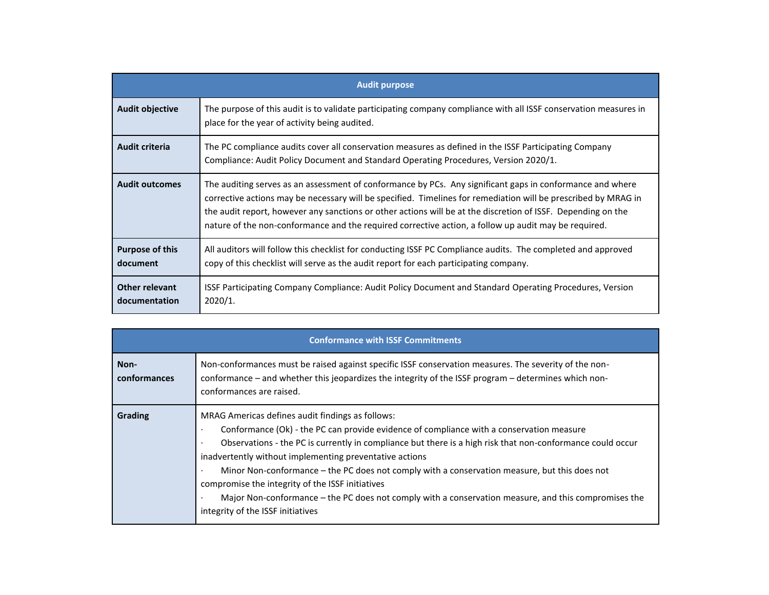|                                        | <b>Audit purpose</b>                                                                                                                                                                                                                                                                                                                                                                                                                                |
|----------------------------------------|-----------------------------------------------------------------------------------------------------------------------------------------------------------------------------------------------------------------------------------------------------------------------------------------------------------------------------------------------------------------------------------------------------------------------------------------------------|
| <b>Audit objective</b>                 | The purpose of this audit is to validate participating company compliance with all ISSF conservation measures in<br>place for the year of activity being audited.                                                                                                                                                                                                                                                                                   |
| Audit criteria                         | The PC compliance audits cover all conservation measures as defined in the ISSF Participating Company<br>Compliance: Audit Policy Document and Standard Operating Procedures, Version 2020/1.                                                                                                                                                                                                                                                       |
| <b>Audit outcomes</b>                  | The auditing serves as an assessment of conformance by PCs. Any significant gaps in conformance and where<br>corrective actions may be necessary will be specified. Timelines for remediation will be prescribed by MRAG in<br>the audit report, however any sanctions or other actions will be at the discretion of ISSF. Depending on the<br>nature of the non-conformance and the required corrective action, a follow up audit may be required. |
| <b>Purpose of this</b><br>document     | All auditors will follow this checklist for conducting ISSF PC Compliance audits. The completed and approved<br>copy of this checklist will serve as the audit report for each participating company.                                                                                                                                                                                                                                               |
| <b>Other relevant</b><br>documentation | ISSF Participating Company Compliance: Audit Policy Document and Standard Operating Procedures, Version<br>2020/1.                                                                                                                                                                                                                                                                                                                                  |

|                      | <b>Conformance with ISSF Commitments</b>                                                                                                                                                                                                                                                                                                                                                                                                                                                                                                                                                                                |  |  |  |  |  |  |  |  |
|----------------------|-------------------------------------------------------------------------------------------------------------------------------------------------------------------------------------------------------------------------------------------------------------------------------------------------------------------------------------------------------------------------------------------------------------------------------------------------------------------------------------------------------------------------------------------------------------------------------------------------------------------------|--|--|--|--|--|--|--|--|
| Non-<br>conformances | Non-conformances must be raised against specific ISSF conservation measures. The severity of the non-<br>conformance – and whether this jeopardizes the integrity of the ISSF program – determines which non-<br>conformances are raised.                                                                                                                                                                                                                                                                                                                                                                               |  |  |  |  |  |  |  |  |
| <b>Grading</b>       | MRAG Americas defines audit findings as follows:<br>Conformance (Ok) - the PC can provide evidence of compliance with a conservation measure<br>Observations - the PC is currently in compliance but there is a high risk that non-conformance could occur<br>inadvertently without implementing preventative actions<br>Minor Non-conformance – the PC does not comply with a conservation measure, but this does not<br>compromise the integrity of the ISSF initiatives<br>Major Non-conformance – the PC does not comply with a conservation measure, and this compromises the<br>integrity of the ISSF initiatives |  |  |  |  |  |  |  |  |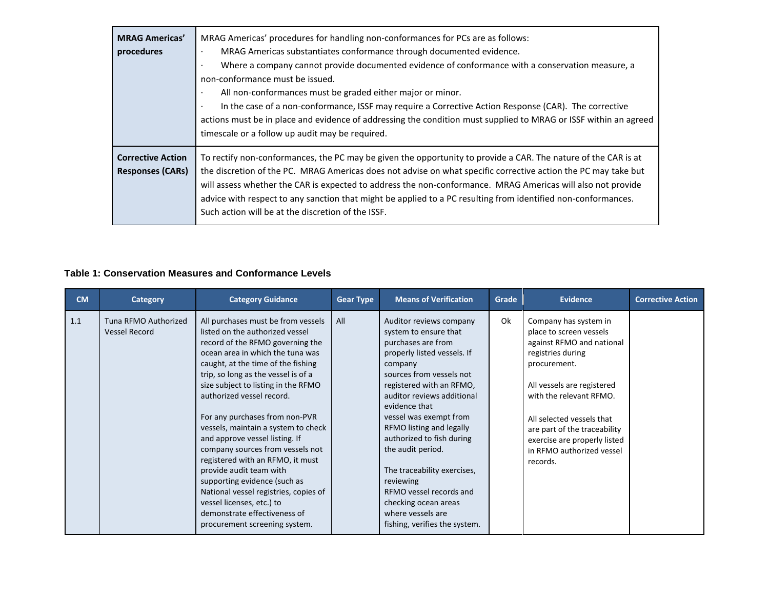| <b>MRAG Americas'</b><br>procedures                 | MRAG Americas' procedures for handling non-conformances for PCs are as follows:<br>MRAG Americas substantiates conformance through documented evidence.<br>٠<br>Where a company cannot provide documented evidence of conformance with a conservation measure, a<br>$\cdot$<br>non-conformance must be issued.<br>All non-conformances must be graded either major or minor.<br>In the case of a non-conformance, ISSF may require a Corrective Action Response (CAR). The corrective<br>٠<br>actions must be in place and evidence of addressing the condition must supplied to MRAG or ISSF within an agreed<br>timescale or a follow up audit may be required. |
|-----------------------------------------------------|-------------------------------------------------------------------------------------------------------------------------------------------------------------------------------------------------------------------------------------------------------------------------------------------------------------------------------------------------------------------------------------------------------------------------------------------------------------------------------------------------------------------------------------------------------------------------------------------------------------------------------------------------------------------|
| <b>Corrective Action</b><br><b>Responses (CARs)</b> | To rectify non-conformances, the PC may be given the opportunity to provide a CAR. The nature of the CAR is at<br>the discretion of the PC. MRAG Americas does not advise on what specific corrective action the PC may take but<br>will assess whether the CAR is expected to address the non-conformance. MRAG Americas will also not provide<br>advice with respect to any sanction that might be applied to a PC resulting from identified non-conformances.<br>Such action will be at the discretion of the ISSF.                                                                                                                                            |

## **Table 1: Conservation Measures and Conformance Levels**

| <b>CM</b> | <b>Category</b>                              | <b>Category Guidance</b>                                                                                                                                                                                                                                                                                                                                                                                                                                                                                                                                                                                                                                                            | <b>Gear Type</b> | <b>Means of Verification</b>                                                                                                                                                                                                                                                                                                                                                                                                                                                         | Grade | <b>Evidence</b>                                                                                                                                                                                                                                                                                                   | <b>Corrective Action</b> |
|-----------|----------------------------------------------|-------------------------------------------------------------------------------------------------------------------------------------------------------------------------------------------------------------------------------------------------------------------------------------------------------------------------------------------------------------------------------------------------------------------------------------------------------------------------------------------------------------------------------------------------------------------------------------------------------------------------------------------------------------------------------------|------------------|--------------------------------------------------------------------------------------------------------------------------------------------------------------------------------------------------------------------------------------------------------------------------------------------------------------------------------------------------------------------------------------------------------------------------------------------------------------------------------------|-------|-------------------------------------------------------------------------------------------------------------------------------------------------------------------------------------------------------------------------------------------------------------------------------------------------------------------|--------------------------|
| 1.1       | Tuna RFMO Authorized<br><b>Vessel Record</b> | All purchases must be from vessels<br>listed on the authorized vessel<br>record of the RFMO governing the<br>ocean area in which the tuna was<br>caught, at the time of the fishing<br>trip, so long as the vessel is of a<br>size subject to listing in the RFMO<br>authorized vessel record.<br>For any purchases from non-PVR<br>vessels, maintain a system to check<br>and approve vessel listing. If<br>company sources from vessels not<br>registered with an RFMO, it must<br>provide audit team with<br>supporting evidence (such as<br>National vessel registries, copies of<br>vessel licenses, etc.) to<br>demonstrate effectiveness of<br>procurement screening system. | All              | Auditor reviews company<br>system to ensure that<br>purchases are from<br>properly listed vessels. If<br>company<br>sources from vessels not<br>registered with an RFMO,<br>auditor reviews additional<br>evidence that<br>vessel was exempt from<br>RFMO listing and legally<br>authorized to fish during<br>the audit period.<br>The traceability exercises,<br>reviewing<br>RFMO vessel records and<br>checking ocean areas<br>where vessels are<br>fishing, verifies the system. | 0k    | Company has system in<br>place to screen vessels<br>against RFMO and national<br>registries during<br>procurement.<br>All vessels are registered<br>with the relevant RFMO.<br>All selected vessels that<br>are part of the traceability<br>exercise are properly listed<br>in RFMO authorized vessel<br>records. |                          |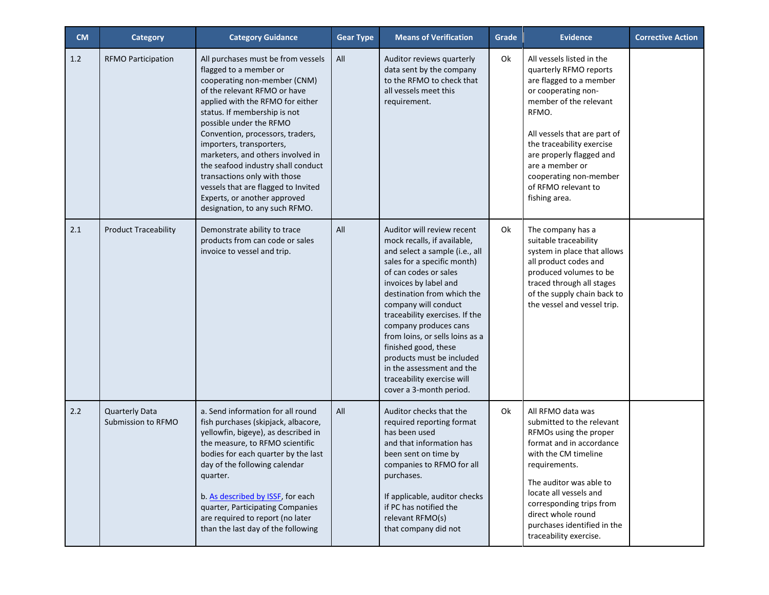| <b>CM</b> | <b>Category</b>                             | <b>Category Guidance</b>                                                                                                                                                                                                                                                                                                                                                                                                                                                                                        | <b>Gear Type</b> | <b>Means of Verification</b>                                                                                                                                                                                                                                                                                                                                                                                                                                                | Grade | <b>Evidence</b>                                                                                                                                                                                                                                                                                                        | <b>Corrective Action</b> |
|-----------|---------------------------------------------|-----------------------------------------------------------------------------------------------------------------------------------------------------------------------------------------------------------------------------------------------------------------------------------------------------------------------------------------------------------------------------------------------------------------------------------------------------------------------------------------------------------------|------------------|-----------------------------------------------------------------------------------------------------------------------------------------------------------------------------------------------------------------------------------------------------------------------------------------------------------------------------------------------------------------------------------------------------------------------------------------------------------------------------|-------|------------------------------------------------------------------------------------------------------------------------------------------------------------------------------------------------------------------------------------------------------------------------------------------------------------------------|--------------------------|
| 1.2       | <b>RFMO Participation</b>                   | All purchases must be from vessels<br>flagged to a member or<br>cooperating non-member (CNM)<br>of the relevant RFMO or have<br>applied with the RFMO for either<br>status. If membership is not<br>possible under the RFMO<br>Convention, processors, traders,<br>importers, transporters,<br>marketers, and others involved in<br>the seafood industry shall conduct<br>transactions only with those<br>vessels that are flagged to Invited<br>Experts, or another approved<br>designation, to any such RFMO. | All              | Auditor reviews quarterly<br>data sent by the company<br>to the RFMO to check that<br>all vessels meet this<br>requirement.                                                                                                                                                                                                                                                                                                                                                 | Ok    | All vessels listed in the<br>quarterly RFMO reports<br>are flagged to a member<br>or cooperating non-<br>member of the relevant<br>RFMO.<br>All vessels that are part of<br>the traceability exercise<br>are properly flagged and<br>are a member or<br>cooperating non-member<br>of RFMO relevant to<br>fishing area. |                          |
| $2.1$     | <b>Product Traceability</b>                 | Demonstrate ability to trace<br>products from can code or sales<br>invoice to vessel and trip.                                                                                                                                                                                                                                                                                                                                                                                                                  | All              | Auditor will review recent<br>mock recalls, if available,<br>and select a sample (i.e., all<br>sales for a specific month)<br>of can codes or sales<br>invoices by label and<br>destination from which the<br>company will conduct<br>traceability exercises. If the<br>company produces cans<br>from loins, or sells loins as a<br>finished good, these<br>products must be included<br>in the assessment and the<br>traceability exercise will<br>cover a 3-month period. | Ok    | The company has a<br>suitable traceability<br>system in place that allows<br>all product codes and<br>produced volumes to be<br>traced through all stages<br>of the supply chain back to<br>the vessel and vessel trip.                                                                                                |                          |
| 2.2       | <b>Quarterly Data</b><br>Submission to RFMO | a. Send information for all round<br>fish purchases (skipjack, albacore,<br>yellowfin, bigeye), as described in<br>the measure, to RFMO scientific<br>bodies for each quarter by the last<br>day of the following calendar<br>quarter.<br>b. As described by ISSF, for each<br>quarter, Participating Companies<br>are required to report (no later<br>than the last day of the following                                                                                                                       | All              | Auditor checks that the<br>required reporting format<br>has been used<br>and that information has<br>been sent on time by<br>companies to RFMO for all<br>purchases.<br>If applicable, auditor checks<br>if PC has notified the<br>relevant RFMO(s)<br>that company did not                                                                                                                                                                                                 | Ok    | All RFMO data was<br>submitted to the relevant<br>RFMOs using the proper<br>format and in accordance<br>with the CM timeline<br>requirements.<br>The auditor was able to<br>locate all vessels and<br>corresponding trips from<br>direct whole round<br>purchases identified in the<br>traceability exercise.          |                          |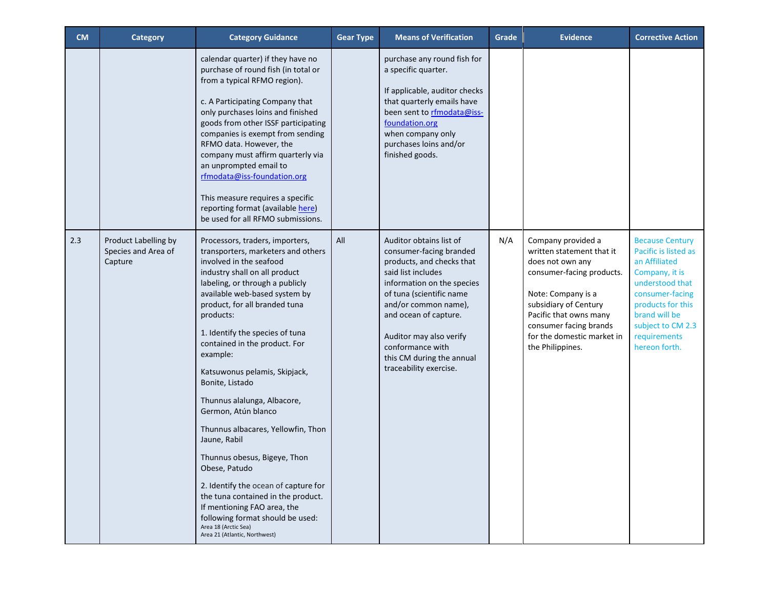| <b>CM</b> | <b>Category</b>                                        | <b>Category Guidance</b>                                                                                                                                                                                                                                                                                                                                                                                                                                                                                                                                                                                                                                                                                                                                       | <b>Gear Type</b> | <b>Means of Verification</b>                                                                                                                                                                                                                                                                                           | Grade | <b>Evidence</b>                                                                                                                                                                                                                                       | <b>Corrective Action</b>                                                                                                                                                                                            |
|-----------|--------------------------------------------------------|----------------------------------------------------------------------------------------------------------------------------------------------------------------------------------------------------------------------------------------------------------------------------------------------------------------------------------------------------------------------------------------------------------------------------------------------------------------------------------------------------------------------------------------------------------------------------------------------------------------------------------------------------------------------------------------------------------------------------------------------------------------|------------------|------------------------------------------------------------------------------------------------------------------------------------------------------------------------------------------------------------------------------------------------------------------------------------------------------------------------|-------|-------------------------------------------------------------------------------------------------------------------------------------------------------------------------------------------------------------------------------------------------------|---------------------------------------------------------------------------------------------------------------------------------------------------------------------------------------------------------------------|
|           |                                                        | calendar quarter) if they have no<br>purchase of round fish (in total or<br>from a typical RFMO region).<br>c. A Participating Company that<br>only purchases loins and finished<br>goods from other ISSF participating<br>companies is exempt from sending<br>RFMO data. However, the<br>company must affirm quarterly via<br>an unprompted email to<br>rfmodata@iss-foundation.org<br>This measure requires a specific<br>reporting format (available here)<br>be used for all RFMO submissions.                                                                                                                                                                                                                                                             |                  | purchase any round fish for<br>a specific quarter.<br>If applicable, auditor checks<br>that quarterly emails have<br>been sent to rfmodata@iss-<br>foundation.org<br>when company only<br>purchases loins and/or<br>finished goods.                                                                                    |       |                                                                                                                                                                                                                                                       |                                                                                                                                                                                                                     |
| 2.3       | Product Labelling by<br>Species and Area of<br>Capture | Processors, traders, importers,<br>transporters, marketers and others<br>involved in the seafood<br>industry shall on all product<br>labeling, or through a publicly<br>available web-based system by<br>product, for all branded tuna<br>products:<br>1. Identify the species of tuna<br>contained in the product. For<br>example:<br>Katsuwonus pelamis, Skipjack,<br>Bonite, Listado<br>Thunnus alalunga, Albacore,<br>Germon, Atún blanco<br>Thunnus albacares, Yellowfin, Thon<br>Jaune, Rabil<br>Thunnus obesus, Bigeye, Thon<br>Obese, Patudo<br>2. Identify the ocean of capture for<br>the tuna contained in the product.<br>If mentioning FAO area, the<br>following format should be used:<br>Area 18 (Arctic Sea)<br>Area 21 (Atlantic, Northwest) | All              | Auditor obtains list of<br>consumer-facing branded<br>products, and checks that<br>said list includes<br>information on the species<br>of tuna (scientific name<br>and/or common name),<br>and ocean of capture.<br>Auditor may also verify<br>conformance with<br>this CM during the annual<br>traceability exercise. | N/A   | Company provided a<br>written statement that it<br>does not own any<br>consumer-facing products.<br>Note: Company is a<br>subsidiary of Century<br>Pacific that owns many<br>consumer facing brands<br>for the domestic market in<br>the Philippines. | <b>Because Century</b><br>Pacific is listed as<br>an Affiliated<br>Company, it is<br>understood that<br>consumer-facing<br>products for this<br>brand will be<br>subject to CM 2.3<br>requirements<br>hereon forth. |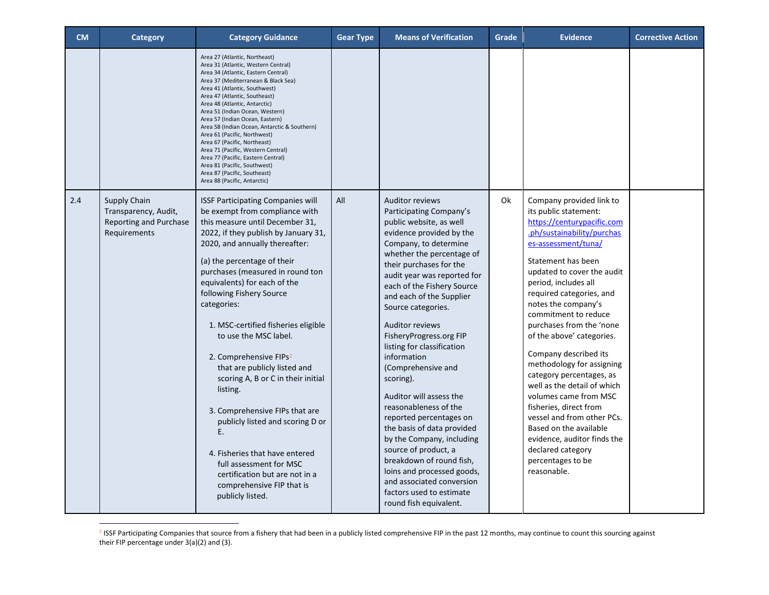| <b>CM</b> | Category                                                                       | <b>Category Guidance</b>                                                                                                                                                                                                                                                                                                                                                                                                                                                                                                                                                                                                                                                                                                                                  | <b>Gear Type</b> | <b>Means of Verification</b>                                                                                                                                                                                                                                                                                                                                                                                                                                                                                                                                                                                                                                                                                                                                 | Grade | <b>Evidence</b>                                                                                                                                                                                                                                                                                                                                                                                                                                                                                                                                                                                                                                                          | <b>Corrective Action</b> |
|-----------|--------------------------------------------------------------------------------|-----------------------------------------------------------------------------------------------------------------------------------------------------------------------------------------------------------------------------------------------------------------------------------------------------------------------------------------------------------------------------------------------------------------------------------------------------------------------------------------------------------------------------------------------------------------------------------------------------------------------------------------------------------------------------------------------------------------------------------------------------------|------------------|--------------------------------------------------------------------------------------------------------------------------------------------------------------------------------------------------------------------------------------------------------------------------------------------------------------------------------------------------------------------------------------------------------------------------------------------------------------------------------------------------------------------------------------------------------------------------------------------------------------------------------------------------------------------------------------------------------------------------------------------------------------|-------|--------------------------------------------------------------------------------------------------------------------------------------------------------------------------------------------------------------------------------------------------------------------------------------------------------------------------------------------------------------------------------------------------------------------------------------------------------------------------------------------------------------------------------------------------------------------------------------------------------------------------------------------------------------------------|--------------------------|
|           |                                                                                | Area 27 (Atlantic, Northeast)<br>Area 31 (Atlantic, Western Central)<br>Area 34 (Atlantic, Eastern Central)<br>Area 37 (Mediterranean & Black Sea)<br>Area 41 (Atlantic, Southwest)<br>Area 47 (Atlantic, Southeast)<br>Area 48 (Atlantic, Antarctic)<br>Area 51 (Indian Ocean, Western)<br>Area 57 (Indian Ocean, Eastern)<br>Area 58 (Indian Ocean, Antarctic & Southern)<br>Area 61 (Pacific, Northwest)<br>Area 67 (Pacific, Northeast)<br>Area 71 (Pacific, Western Central)<br>Area 77 (Pacific, Eastern Central)<br>Area 81 (Pacific, Southwest)<br>Area 87 (Pacific, Southeast)<br>Area 88 (Pacific, Antarctic)                                                                                                                                   |                  |                                                                                                                                                                                                                                                                                                                                                                                                                                                                                                                                                                                                                                                                                                                                                              |       |                                                                                                                                                                                                                                                                                                                                                                                                                                                                                                                                                                                                                                                                          |                          |
| 2.4       | Supply Chain<br>Transparency, Audit,<br>Reporting and Purchase<br>Requirements | <b>ISSF Participating Companies will</b><br>be exempt from compliance with<br>this measure until December 31,<br>2022, if they publish by January 31,<br>2020, and annually thereafter:<br>(a) the percentage of their<br>purchases (measured in round ton<br>equivalents) for each of the<br>following Fishery Source<br>categories:<br>1. MSC-certified fisheries eligible<br>to use the MSC label.<br>2. Comprehensive FIPs <sup>2</sup><br>that are publicly listed and<br>scoring A, B or C in their initial<br>listing.<br>3. Comprehensive FIPs that are<br>publicly listed and scoring D or<br>Ε.<br>4. Fisheries that have entered<br>full assessment for MSC<br>certification but are not in a<br>comprehensive FIP that is<br>publicly listed. | All              | <b>Auditor reviews</b><br>Participating Company's<br>public website, as well<br>evidence provided by the<br>Company, to determine<br>whether the percentage of<br>their purchases for the<br>audit year was reported for<br>each of the Fishery Source<br>and each of the Supplier<br>Source categories.<br><b>Auditor reviews</b><br>FisheryProgress.org FIP<br>listing for classification<br>information<br>(Comprehensive and<br>scoring).<br>Auditor will assess the<br>reasonableness of the<br>reported percentages on<br>the basis of data provided<br>by the Company, including<br>source of product, a<br>breakdown of round fish,<br>loins and processed goods,<br>and associated conversion<br>factors used to estimate<br>round fish equivalent. | Ok    | Company provided link to<br>its public statement:<br>https://centurypacific.com<br>.ph/sustainability/purchas<br>es-assessment/tuna/<br>Statement has been<br>updated to cover the audit<br>period, includes all<br>required categories, and<br>notes the company's<br>commitment to reduce<br>purchases from the 'none<br>of the above' categories.<br>Company described its<br>methodology for assigning<br>category percentages, as<br>well as the detail of which<br>volumes came from MSC<br>fisheries, direct from<br>vessel and from other PCs.<br>Based on the available<br>evidence, auditor finds the<br>declared category<br>percentages to be<br>reasonable. |                          |

<sup>&</sup>lt;sup>2</sup> ISSF Participating Companies that source from a fishery that had been in a publicly listed comprehensive FIP in the past 12 months, may continue to count this sourcing against their FIP percentage under 3(a)(2) and (3).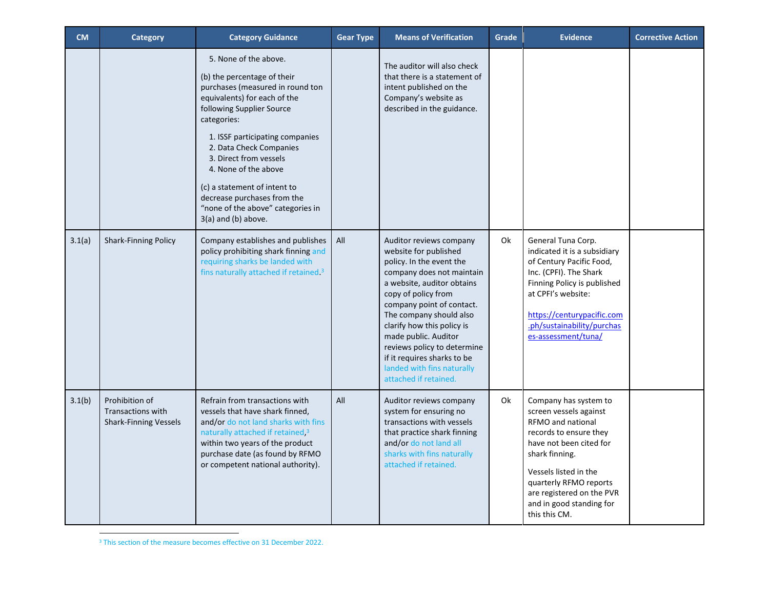| <b>CM</b> | Category                                                                   | <b>Category Guidance</b>                                                                                                                                                                                                                                                                                                                                                                                          | <b>Gear Type</b> | <b>Means of Verification</b>                                                                                                                                                                                                                                                                                                                                                                      | Grade | <b>Evidence</b>                                                                                                                                                                                                                                                          | <b>Corrective Action</b> |
|-----------|----------------------------------------------------------------------------|-------------------------------------------------------------------------------------------------------------------------------------------------------------------------------------------------------------------------------------------------------------------------------------------------------------------------------------------------------------------------------------------------------------------|------------------|---------------------------------------------------------------------------------------------------------------------------------------------------------------------------------------------------------------------------------------------------------------------------------------------------------------------------------------------------------------------------------------------------|-------|--------------------------------------------------------------------------------------------------------------------------------------------------------------------------------------------------------------------------------------------------------------------------|--------------------------|
|           |                                                                            | 5. None of the above.<br>(b) the percentage of their<br>purchases (measured in round ton<br>equivalents) for each of the<br>following Supplier Source<br>categories:<br>1. ISSF participating companies<br>2. Data Check Companies<br>3. Direct from vessels<br>4. None of the above<br>(c) a statement of intent to<br>decrease purchases from the<br>"none of the above" categories in<br>$3(a)$ and (b) above. |                  | The auditor will also check<br>that there is a statement of<br>intent published on the<br>Company's website as<br>described in the guidance.                                                                                                                                                                                                                                                      |       |                                                                                                                                                                                                                                                                          |                          |
| 3.1(a)    | <b>Shark-Finning Policy</b>                                                | Company establishes and publishes<br>policy prohibiting shark finning and<br>requiring sharks be landed with<br>fins naturally attached if retained. <sup>3</sup>                                                                                                                                                                                                                                                 | All              | Auditor reviews company<br>website for published<br>policy. In the event the<br>company does not maintain<br>a website, auditor obtains<br>copy of policy from<br>company point of contact.<br>The company should also<br>clarify how this policy is<br>made public. Auditor<br>reviews policy to determine<br>if it requires sharks to be<br>landed with fins naturally<br>attached if retained. | Ok    | General Tuna Corp.<br>indicated it is a subsidiary<br>of Century Pacific Food,<br>Inc. (CPFI). The Shark<br>Finning Policy is published<br>at CPFI's website:<br>https://centurypacific.com<br>.ph/sustainability/purchas<br>es-assessment/tuna/                         |                          |
| 3.1(b)    | Prohibition of<br><b>Transactions with</b><br><b>Shark-Finning Vessels</b> | Refrain from transactions with<br>vessels that have shark finned,<br>and/or do not land sharks with fins<br>naturally attached if retained, <sup>3</sup><br>within two years of the product<br>purchase date (as found by RFMO<br>or competent national authority).                                                                                                                                               | All              | Auditor reviews company<br>system for ensuring no<br>transactions with vessels<br>that practice shark finning<br>and/or do not land all<br>sharks with fins naturally<br>attached if retained.                                                                                                                                                                                                    | 0k    | Company has system to<br>screen vessels against<br>RFMO and national<br>records to ensure they<br>have not been cited for<br>shark finning.<br>Vessels listed in the<br>quarterly RFMO reports<br>are registered on the PVR<br>and in good standing for<br>this this CM. |                          |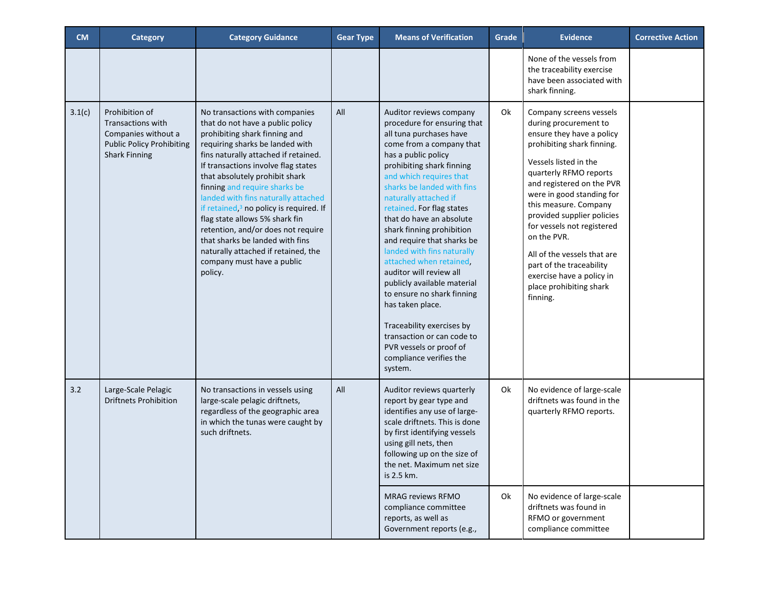| <b>CM</b> | <b>Category</b>                                                                                                        | <b>Category Guidance</b>                                                                                                                                                                                                                                                                                                                                                                                                                                                                                                                                                          | <b>Gear Type</b> | <b>Means of Verification</b>                                                                                                                                                                                                                                                                                                                                                                                                                                                                                                                                                                                                                                             | Grade | <b>Evidence</b>                                                                                                                                                                                                                                                                                                                                                                                                                                             | <b>Corrective Action</b> |
|-----------|------------------------------------------------------------------------------------------------------------------------|-----------------------------------------------------------------------------------------------------------------------------------------------------------------------------------------------------------------------------------------------------------------------------------------------------------------------------------------------------------------------------------------------------------------------------------------------------------------------------------------------------------------------------------------------------------------------------------|------------------|--------------------------------------------------------------------------------------------------------------------------------------------------------------------------------------------------------------------------------------------------------------------------------------------------------------------------------------------------------------------------------------------------------------------------------------------------------------------------------------------------------------------------------------------------------------------------------------------------------------------------------------------------------------------------|-------|-------------------------------------------------------------------------------------------------------------------------------------------------------------------------------------------------------------------------------------------------------------------------------------------------------------------------------------------------------------------------------------------------------------------------------------------------------------|--------------------------|
|           |                                                                                                                        |                                                                                                                                                                                                                                                                                                                                                                                                                                                                                                                                                                                   |                  |                                                                                                                                                                                                                                                                                                                                                                                                                                                                                                                                                                                                                                                                          |       | None of the vessels from<br>the traceability exercise<br>have been associated with<br>shark finning.                                                                                                                                                                                                                                                                                                                                                        |                          |
| 3.1(c)    | Prohibition of<br>Transactions with<br>Companies without a<br><b>Public Policy Prohibiting</b><br><b>Shark Finning</b> | No transactions with companies<br>that do not have a public policy<br>prohibiting shark finning and<br>requiring sharks be landed with<br>fins naturally attached if retained.<br>If transactions involve flag states<br>that absolutely prohibit shark<br>finning and require sharks be<br>landed with fins naturally attached<br>if retained, <sup>3</sup> no policy is required. If<br>flag state allows 5% shark fin<br>retention, and/or does not require<br>that sharks be landed with fins<br>naturally attached if retained, the<br>company must have a public<br>policy. | All              | Auditor reviews company<br>procedure for ensuring that<br>all tuna purchases have<br>come from a company that<br>has a public policy<br>prohibiting shark finning<br>and which requires that<br>sharks be landed with fins<br>naturally attached if<br>retained. For flag states<br>that do have an absolute<br>shark finning prohibition<br>and require that sharks be<br>landed with fins naturally<br>attached when retained,<br>auditor will review all<br>publicly available material<br>to ensure no shark finning<br>has taken place.<br>Traceability exercises by<br>transaction or can code to<br>PVR vessels or proof of<br>compliance verifies the<br>system. | Ok    | Company screens vessels<br>during procurement to<br>ensure they have a policy<br>prohibiting shark finning.<br>Vessels listed in the<br>quarterly RFMO reports<br>and registered on the PVR<br>were in good standing for<br>this measure. Company<br>provided supplier policies<br>for vessels not registered<br>on the PVR.<br>All of the vessels that are<br>part of the traceability<br>exercise have a policy in<br>place prohibiting shark<br>finning. |                          |
| 3.2       | Large-Scale Pelagic<br><b>Driftnets Prohibition</b>                                                                    | No transactions in vessels using<br>large-scale pelagic driftnets,<br>regardless of the geographic area<br>in which the tunas were caught by<br>such driftnets.                                                                                                                                                                                                                                                                                                                                                                                                                   | All              | Auditor reviews quarterly<br>report by gear type and<br>identifies any use of large-<br>scale driftnets. This is done<br>by first identifying vessels<br>using gill nets, then<br>following up on the size of<br>the net. Maximum net size<br>is 2.5 km.                                                                                                                                                                                                                                                                                                                                                                                                                 | 0k    | No evidence of large-scale<br>driftnets was found in the<br>quarterly RFMO reports.                                                                                                                                                                                                                                                                                                                                                                         |                          |
|           |                                                                                                                        |                                                                                                                                                                                                                                                                                                                                                                                                                                                                                                                                                                                   |                  | <b>MRAG reviews RFMO</b><br>compliance committee<br>reports, as well as<br>Government reports (e.g.,                                                                                                                                                                                                                                                                                                                                                                                                                                                                                                                                                                     | Ok    | No evidence of large-scale<br>driftnets was found in<br>RFMO or government<br>compliance committee                                                                                                                                                                                                                                                                                                                                                          |                          |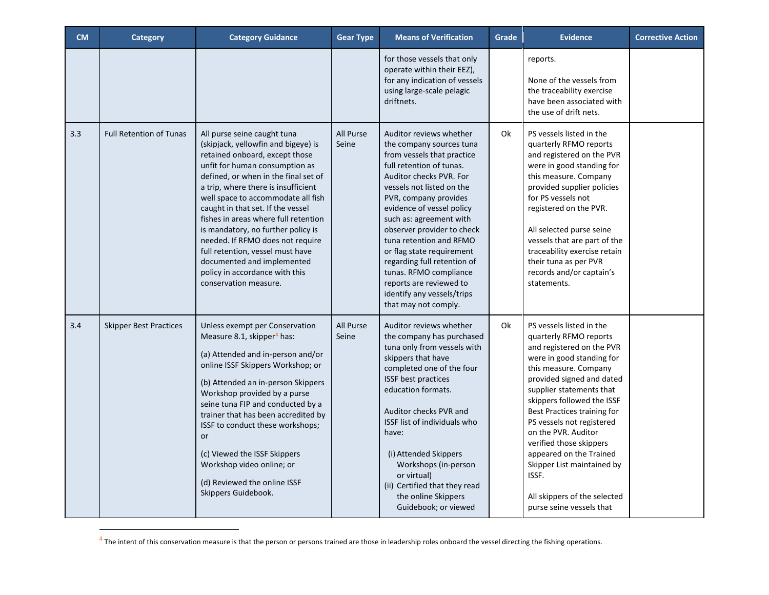| <b>CM</b> | <b>Category</b>                | <b>Category Guidance</b>                                                                                                                                                                                                                                                                                                                                                                                                                                                                                                                        | <b>Gear Type</b>   | <b>Means of Verification</b>                                                                                                                                                                                                                                                                                                                                                                                                                                                           | <b>Grade</b> | <b>Evidence</b>                                                                                                                                                                                                                                                                                                                                                                                                                                                          | <b>Corrective Action</b> |
|-----------|--------------------------------|-------------------------------------------------------------------------------------------------------------------------------------------------------------------------------------------------------------------------------------------------------------------------------------------------------------------------------------------------------------------------------------------------------------------------------------------------------------------------------------------------------------------------------------------------|--------------------|----------------------------------------------------------------------------------------------------------------------------------------------------------------------------------------------------------------------------------------------------------------------------------------------------------------------------------------------------------------------------------------------------------------------------------------------------------------------------------------|--------------|--------------------------------------------------------------------------------------------------------------------------------------------------------------------------------------------------------------------------------------------------------------------------------------------------------------------------------------------------------------------------------------------------------------------------------------------------------------------------|--------------------------|
|           |                                |                                                                                                                                                                                                                                                                                                                                                                                                                                                                                                                                                 |                    | for those vessels that only<br>operate within their EEZ),<br>for any indication of vessels<br>using large-scale pelagic<br>driftnets.                                                                                                                                                                                                                                                                                                                                                  |              | reports.<br>None of the vessels from<br>the traceability exercise<br>have been associated with<br>the use of drift nets.                                                                                                                                                                                                                                                                                                                                                 |                          |
| 3.3       | <b>Full Retention of Tunas</b> | All purse seine caught tuna<br>(skipjack, yellowfin and bigeye) is<br>retained onboard, except those<br>unfit for human consumption as<br>defined, or when in the final set of<br>a trip, where there is insufficient<br>well space to accommodate all fish<br>caught in that set. If the vessel<br>fishes in areas where full retention<br>is mandatory, no further policy is<br>needed. If RFMO does not require<br>full retention, vessel must have<br>documented and implemented<br>policy in accordance with this<br>conservation measure. | All Purse<br>Seine | Auditor reviews whether<br>the company sources tuna<br>from vessels that practice<br>full retention of tunas.<br>Auditor checks PVR. For<br>vessels not listed on the<br>PVR, company provides<br>evidence of vessel policy<br>such as: agreement with<br>observer provider to check<br>tuna retention and RFMO<br>or flag state requirement<br>regarding full retention of<br>tunas. RFMO compliance<br>reports are reviewed to<br>identify any vessels/trips<br>that may not comply. | 0k           | PS vessels listed in the<br>quarterly RFMO reports<br>and registered on the PVR<br>were in good standing for<br>this measure. Company<br>provided supplier policies<br>for PS vessels not<br>registered on the PVR.<br>All selected purse seine<br>vessels that are part of the<br>traceability exercise retain<br>their tuna as per PVR<br>records and/or captain's<br>statements.                                                                                      |                          |
| 3.4       | <b>Skipper Best Practices</b>  | Unless exempt per Conservation<br>Measure 8.1, skipper <sup>4</sup> has:<br>(a) Attended and in-person and/or<br>online ISSF Skippers Workshop; or<br>(b) Attended an in-person Skippers<br>Workshop provided by a purse<br>seine tuna FIP and conducted by a<br>trainer that has been accredited by<br>ISSF to conduct these workshops;<br>or<br>(c) Viewed the ISSF Skippers<br>Workshop video online; or<br>(d) Reviewed the online ISSF<br>Skippers Guidebook.                                                                              | All Purse<br>Seine | Auditor reviews whether<br>the company has purchased<br>tuna only from vessels with<br>skippers that have<br>completed one of the four<br>ISSF best practices<br>education formats.<br>Auditor checks PVR and<br><b>ISSF list of individuals who</b><br>have:<br>(i) Attended Skippers<br>Workshops (in-person<br>or virtual)<br>(ii) Certified that they read<br>the online Skippers<br>Guidebook; or viewed                                                                          | Ok           | PS vessels listed in the<br>quarterly RFMO reports<br>and registered on the PVR<br>were in good standing for<br>this measure. Company<br>provided signed and dated<br>supplier statements that<br>skippers followed the ISSF<br>Best Practices training for<br>PS vessels not registered<br>on the PVR. Auditor<br>verified those skippers<br>appeared on the Trained<br>Skipper List maintained by<br>ISSF.<br>All skippers of the selected<br>purse seine vessels that |                          |

<sup>&</sup>lt;sup>4</sup> The intent of this conservation measure is that the person or persons trained are those in leadership roles onboard the vessel directing the fishing operations.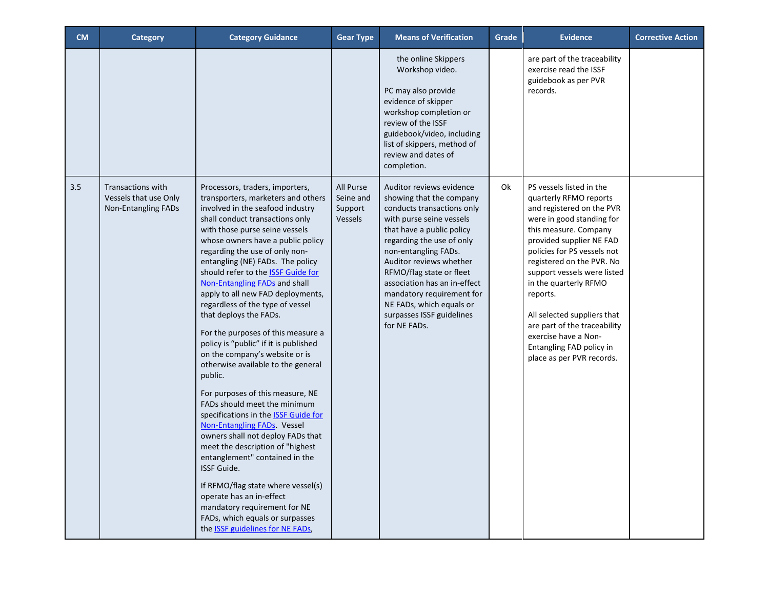| <b>CM</b> | Category                                                                 | <b>Category Guidance</b>                                                                                                                                                                                                                                                                                                                                                                                                                                                                                                                                                                                                                                                                                                                                                                                                                                                                                                                                                                                                                                                                                         | <b>Gear Type</b>                             | <b>Means of Verification</b>                                                                                                                                                                                                                                                                                                                                                                  | Grade | <b>Evidence</b>                                                                                                                                                                                                                                                                                                                                                                                                                                   | <b>Corrective Action</b> |
|-----------|--------------------------------------------------------------------------|------------------------------------------------------------------------------------------------------------------------------------------------------------------------------------------------------------------------------------------------------------------------------------------------------------------------------------------------------------------------------------------------------------------------------------------------------------------------------------------------------------------------------------------------------------------------------------------------------------------------------------------------------------------------------------------------------------------------------------------------------------------------------------------------------------------------------------------------------------------------------------------------------------------------------------------------------------------------------------------------------------------------------------------------------------------------------------------------------------------|----------------------------------------------|-----------------------------------------------------------------------------------------------------------------------------------------------------------------------------------------------------------------------------------------------------------------------------------------------------------------------------------------------------------------------------------------------|-------|---------------------------------------------------------------------------------------------------------------------------------------------------------------------------------------------------------------------------------------------------------------------------------------------------------------------------------------------------------------------------------------------------------------------------------------------------|--------------------------|
|           |                                                                          |                                                                                                                                                                                                                                                                                                                                                                                                                                                                                                                                                                                                                                                                                                                                                                                                                                                                                                                                                                                                                                                                                                                  |                                              | the online Skippers<br>Workshop video.<br>PC may also provide<br>evidence of skipper<br>workshop completion or<br>review of the ISSF<br>guidebook/video, including<br>list of skippers, method of<br>review and dates of<br>completion.                                                                                                                                                       |       | are part of the traceability<br>exercise read the ISSF<br>guidebook as per PVR<br>records.                                                                                                                                                                                                                                                                                                                                                        |                          |
| 3.5       | <b>Transactions with</b><br>Vessels that use Only<br>Non-Entangling FADs | Processors, traders, importers,<br>transporters, marketers and others<br>involved in the seafood industry<br>shall conduct transactions only<br>with those purse seine vessels<br>whose owners have a public policy<br>regarding the use of only non-<br>entangling (NE) FADs. The policy<br>should refer to the <b>ISSF Guide for</b><br>Non-Entangling FADs and shall<br>apply to all new FAD deployments,<br>regardless of the type of vessel<br>that deploys the FADs.<br>For the purposes of this measure a<br>policy is "public" if it is published<br>on the company's website or is<br>otherwise available to the general<br>public.<br>For purposes of this measure, NE<br>FADs should meet the minimum<br>specifications in the <b>ISSF Guide for</b><br><b>Non-Entangling FADs</b> . Vessel<br>owners shall not deploy FADs that<br>meet the description of "highest<br>entanglement" contained in the<br><b>ISSF Guide.</b><br>If RFMO/flag state where vessel(s)<br>operate has an in-effect<br>mandatory requirement for NE<br>FADs, which equals or surpasses<br>the ISSF guidelines for NE FADs, | All Purse<br>Seine and<br>Support<br>Vessels | Auditor reviews evidence<br>showing that the company<br>conducts transactions only<br>with purse seine vessels<br>that have a public policy<br>regarding the use of only<br>non-entangling FADs.<br>Auditor reviews whether<br>RFMO/flag state or fleet<br>association has an in-effect<br>mandatory requirement for<br>NE FADs, which equals or<br>surpasses ISSF guidelines<br>for NE FADs. | Ok    | PS vessels listed in the<br>quarterly RFMO reports<br>and registered on the PVR<br>were in good standing for<br>this measure. Company<br>provided supplier NE FAD<br>policies for PS vessels not<br>registered on the PVR. No<br>support vessels were listed<br>in the quarterly RFMO<br>reports.<br>All selected suppliers that<br>are part of the traceability<br>exercise have a Non-<br>Entangling FAD policy in<br>place as per PVR records. |                          |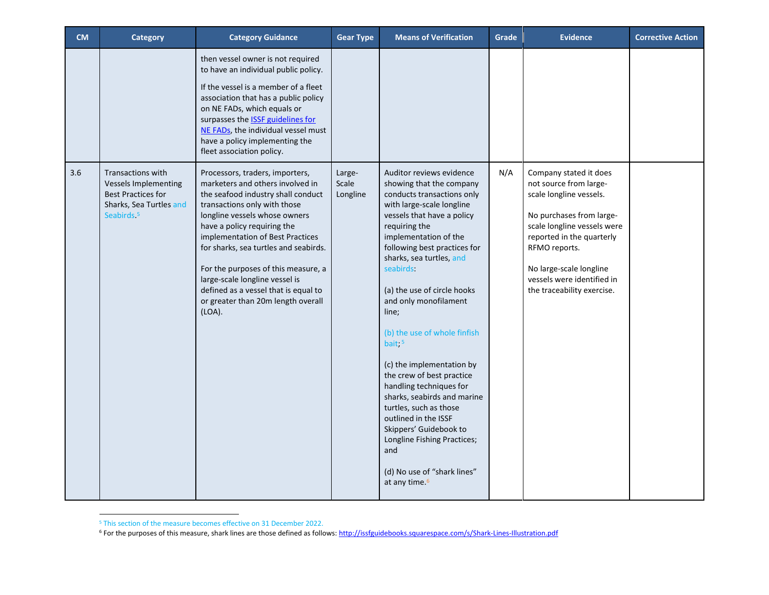| <b>CM</b> | <b>Category</b>                                                                                                                           | <b>Category Guidance</b>                                                                                                                                                                                                                                                                                                                                                                                                                                | <b>Gear Type</b>            | <b>Means of Verification</b>                                                                                                                                                                                                                                                                                                                                                                                                                                                                                                                                                                                                                                                              | Grade | <b>Evidence</b>                                                                                                                                                                                                                                                             | <b>Corrective Action</b> |
|-----------|-------------------------------------------------------------------------------------------------------------------------------------------|---------------------------------------------------------------------------------------------------------------------------------------------------------------------------------------------------------------------------------------------------------------------------------------------------------------------------------------------------------------------------------------------------------------------------------------------------------|-----------------------------|-------------------------------------------------------------------------------------------------------------------------------------------------------------------------------------------------------------------------------------------------------------------------------------------------------------------------------------------------------------------------------------------------------------------------------------------------------------------------------------------------------------------------------------------------------------------------------------------------------------------------------------------------------------------------------------------|-------|-----------------------------------------------------------------------------------------------------------------------------------------------------------------------------------------------------------------------------------------------------------------------------|--------------------------|
|           |                                                                                                                                           | then vessel owner is not required<br>to have an individual public policy.<br>If the vessel is a member of a fleet<br>association that has a public policy<br>on NE FADs, which equals or<br>surpasses the <b>ISSF</b> guidelines for<br>NE FADs, the individual vessel must<br>have a policy implementing the<br>fleet association policy.                                                                                                              |                             |                                                                                                                                                                                                                                                                                                                                                                                                                                                                                                                                                                                                                                                                                           |       |                                                                                                                                                                                                                                                                             |                          |
| 3.6       | <b>Transactions with</b><br><b>Vessels Implementing</b><br><b>Best Practices for</b><br>Sharks, Sea Turtles and<br>Seabirds. <sup>5</sup> | Processors, traders, importers,<br>marketers and others involved in<br>the seafood industry shall conduct<br>transactions only with those<br>longline vessels whose owners<br>have a policy requiring the<br>implementation of Best Practices<br>for sharks, sea turtles and seabirds.<br>For the purposes of this measure, a<br>large-scale longline vessel is<br>defined as a vessel that is equal to<br>or greater than 20m length overall<br>(LOA). | Large-<br>Scale<br>Longline | Auditor reviews evidence<br>showing that the company<br>conducts transactions only<br>with large-scale longline<br>vessels that have a policy<br>requiring the<br>implementation of the<br>following best practices for<br>sharks, sea turtles, and<br>seabirds:<br>(a) the use of circle hooks<br>and only monofilament<br>line;<br>(b) the use of whole finfish<br>bait; <sup>5</sup><br>(c) the implementation by<br>the crew of best practice<br>handling techniques for<br>sharks, seabirds and marine<br>turtles, such as those<br>outlined in the ISSF<br>Skippers' Guidebook to<br>Longline Fishing Practices;<br>and<br>(d) No use of "shark lines"<br>at any time. <sup>6</sup> | N/A   | Company stated it does<br>not source from large-<br>scale longline vessels.<br>No purchases from large-<br>scale longline vessels were<br>reported in the quarterly<br>RFMO reports.<br>No large-scale longline<br>vessels were identified in<br>the traceability exercise. |                          |

<sup>5</sup> This section of the measure becomes effective on 31 December 2022.

<sup>&</sup>lt;sup>6</sup> For the purposes of this measure, shark lines are those defined as follows: http://issfguidebooks.squarespace.com/s/Shark-Lines-Illustration.pdf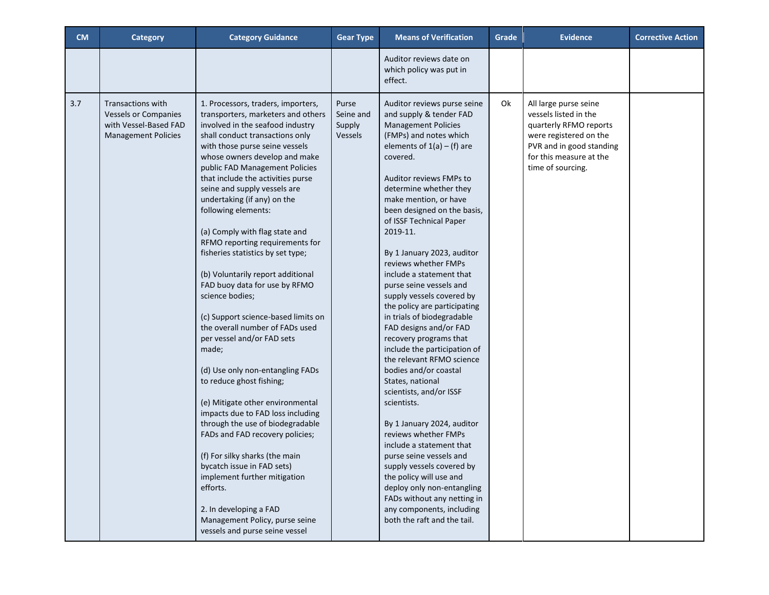| <b>CM</b> | <b>Category</b>                                                                                         | <b>Category Guidance</b>                                                                                                                                                                                                                                                                                                                                                                                                                                                                                                                                                                                                                                                                                                                                                                                                                                                                                                                                                                                                                                                                                                      | <b>Gear Type</b>                        | <b>Means of Verification</b>                                                                                                                                                                                                                                                                                                                                                                                                                                                                                                                                                                                                                                                                                                                                                                                                                                                                                                                                                                                                 | Grade | <b>Evidence</b>                                                                                                                                                                | <b>Corrective Action</b> |
|-----------|---------------------------------------------------------------------------------------------------------|-------------------------------------------------------------------------------------------------------------------------------------------------------------------------------------------------------------------------------------------------------------------------------------------------------------------------------------------------------------------------------------------------------------------------------------------------------------------------------------------------------------------------------------------------------------------------------------------------------------------------------------------------------------------------------------------------------------------------------------------------------------------------------------------------------------------------------------------------------------------------------------------------------------------------------------------------------------------------------------------------------------------------------------------------------------------------------------------------------------------------------|-----------------------------------------|------------------------------------------------------------------------------------------------------------------------------------------------------------------------------------------------------------------------------------------------------------------------------------------------------------------------------------------------------------------------------------------------------------------------------------------------------------------------------------------------------------------------------------------------------------------------------------------------------------------------------------------------------------------------------------------------------------------------------------------------------------------------------------------------------------------------------------------------------------------------------------------------------------------------------------------------------------------------------------------------------------------------------|-------|--------------------------------------------------------------------------------------------------------------------------------------------------------------------------------|--------------------------|
|           |                                                                                                         |                                                                                                                                                                                                                                                                                                                                                                                                                                                                                                                                                                                                                                                                                                                                                                                                                                                                                                                                                                                                                                                                                                                               |                                         | Auditor reviews date on<br>which policy was put in<br>effect.                                                                                                                                                                                                                                                                                                                                                                                                                                                                                                                                                                                                                                                                                                                                                                                                                                                                                                                                                                |       |                                                                                                                                                                                |                          |
| 3.7       | Transactions with<br><b>Vessels or Companies</b><br>with Vessel-Based FAD<br><b>Management Policies</b> | 1. Processors, traders, importers,<br>transporters, marketers and others<br>involved in the seafood industry<br>shall conduct transactions only<br>with those purse seine vessels<br>whose owners develop and make<br>public FAD Management Policies<br>that include the activities purse<br>seine and supply vessels are<br>undertaking (if any) on the<br>following elements:<br>(a) Comply with flag state and<br>RFMO reporting requirements for<br>fisheries statistics by set type;<br>(b) Voluntarily report additional<br>FAD buoy data for use by RFMO<br>science bodies;<br>(c) Support science-based limits on<br>the overall number of FADs used<br>per vessel and/or FAD sets<br>made;<br>(d) Use only non-entangling FADs<br>to reduce ghost fishing;<br>(e) Mitigate other environmental<br>impacts due to FAD loss including<br>through the use of biodegradable<br>FADs and FAD recovery policies;<br>(f) For silky sharks (the main<br>bycatch issue in FAD sets)<br>implement further mitigation<br>efforts.<br>2. In developing a FAD<br>Management Policy, purse seine<br>vessels and purse seine vessel | Purse<br>Seine and<br>Supply<br>Vessels | Auditor reviews purse seine<br>and supply & tender FAD<br><b>Management Policies</b><br>(FMPs) and notes which<br>elements of $1(a) - (f)$ are<br>covered.<br>Auditor reviews FMPs to<br>determine whether they<br>make mention, or have<br>been designed on the basis,<br>of ISSF Technical Paper<br>2019-11.<br>By 1 January 2023, auditor<br>reviews whether FMPs<br>include a statement that<br>purse seine vessels and<br>supply vessels covered by<br>the policy are participating<br>in trials of biodegradable<br>FAD designs and/or FAD<br>recovery programs that<br>include the participation of<br>the relevant RFMO science<br>bodies and/or coastal<br>States, national<br>scientists, and/or ISSF<br>scientists.<br>By 1 January 2024, auditor<br>reviews whether FMPs<br>include a statement that<br>purse seine vessels and<br>supply vessels covered by<br>the policy will use and<br>deploy only non-entangling<br>FADs without any netting in<br>any components, including<br>both the raft and the tail. | 0k    | All large purse seine<br>vessels listed in the<br>quarterly RFMO reports<br>were registered on the<br>PVR and in good standing<br>for this measure at the<br>time of sourcing. |                          |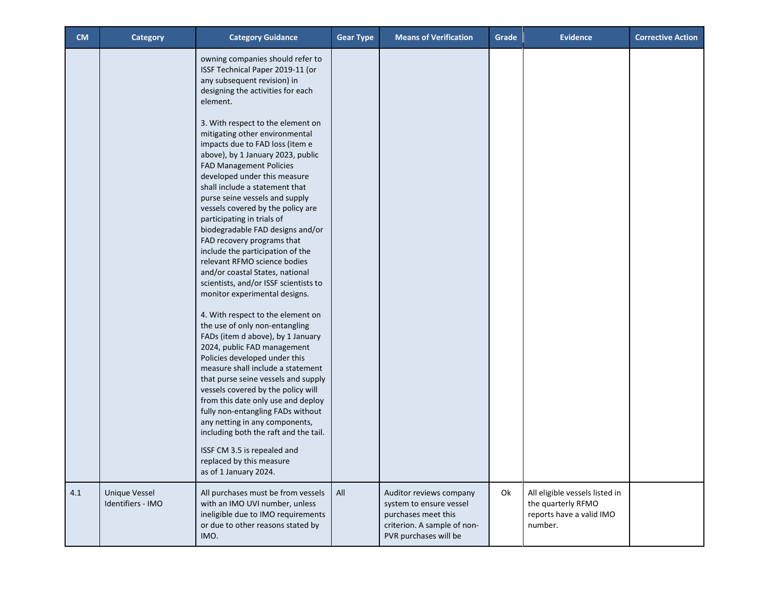| <b>CM</b> | <b>Category</b>                           | <b>Category Guidance</b>                                                                                                                                                                                                                                                                                                                                                                                                                         | <b>Gear Type</b> | <b>Means of Verification</b>                                                                                                      | Grade | <b>Evidence</b>                                                                             | <b>Corrective Action</b> |
|-----------|-------------------------------------------|--------------------------------------------------------------------------------------------------------------------------------------------------------------------------------------------------------------------------------------------------------------------------------------------------------------------------------------------------------------------------------------------------------------------------------------------------|------------------|-----------------------------------------------------------------------------------------------------------------------------------|-------|---------------------------------------------------------------------------------------------|--------------------------|
|           |                                           | owning companies should refer to<br>ISSF Technical Paper 2019-11 (or<br>any subsequent revision) in<br>designing the activities for each<br>element.<br>3. With respect to the element on<br>mitigating other environmental<br>impacts due to FAD loss (item e<br>above), by 1 January 2023, public<br><b>FAD Management Policies</b><br>developed under this measure<br>shall include a statement that                                          |                  |                                                                                                                                   |       |                                                                                             |                          |
|           |                                           | purse seine vessels and supply<br>vessels covered by the policy are<br>participating in trials of<br>biodegradable FAD designs and/or<br>FAD recovery programs that<br>include the participation of the<br>relevant RFMO science bodies<br>and/or coastal States, national<br>scientists, and/or ISSF scientists to<br>monitor experimental designs.                                                                                             |                  |                                                                                                                                   |       |                                                                                             |                          |
|           |                                           | 4. With respect to the element on<br>the use of only non-entangling<br>FADs (item d above), by 1 January<br>2024, public FAD management<br>Policies developed under this<br>measure shall include a statement<br>that purse seine vessels and supply<br>vessels covered by the policy will<br>from this date only use and deploy<br>fully non-entangling FADs without<br>any netting in any components,<br>including both the raft and the tail. |                  |                                                                                                                                   |       |                                                                                             |                          |
|           |                                           | ISSF CM 3.5 is repealed and<br>replaced by this measure<br>as of 1 January 2024.                                                                                                                                                                                                                                                                                                                                                                 |                  |                                                                                                                                   |       |                                                                                             |                          |
| 4.1       | <b>Unique Vessel</b><br>Identifiers - IMO | All purchases must be from vessels<br>with an IMO UVI number, unless<br>ineligible due to IMO requirements<br>or due to other reasons stated by<br>IMO.                                                                                                                                                                                                                                                                                          | All              | Auditor reviews company<br>system to ensure vessel<br>purchases meet this<br>criterion. A sample of non-<br>PVR purchases will be | Ok    | All eligible vessels listed in<br>the quarterly RFMO<br>reports have a valid IMO<br>number. |                          |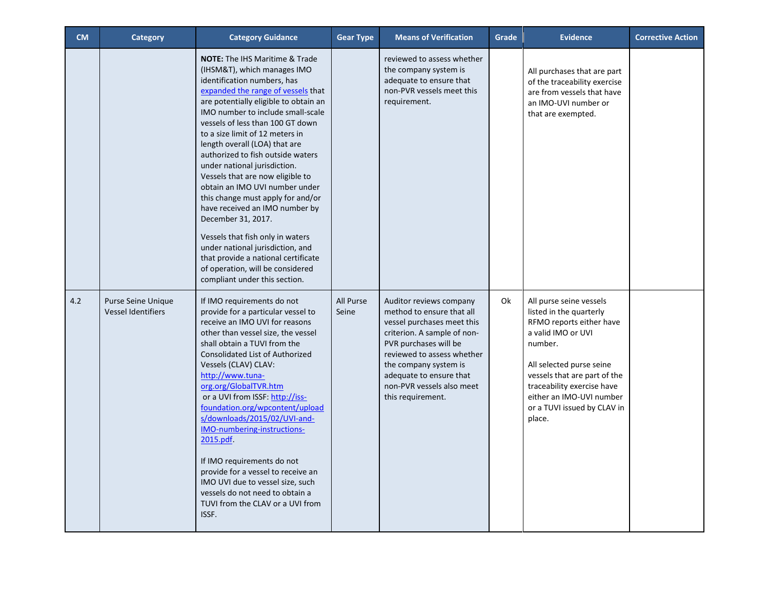| <b>CM</b> | <b>Category</b>                                 | <b>Category Guidance</b>                                                                                                                                                                                                                                                                                                                                                                                                                                                                                                                                                                                                                                                                                                                                    | <b>Gear Type</b>   | <b>Means of Verification</b>                                                                                                                                                                                                                                                   | Grade | <b>Evidence</b>                                                                                                                                                                                                                                                                | <b>Corrective Action</b> |
|-----------|-------------------------------------------------|-------------------------------------------------------------------------------------------------------------------------------------------------------------------------------------------------------------------------------------------------------------------------------------------------------------------------------------------------------------------------------------------------------------------------------------------------------------------------------------------------------------------------------------------------------------------------------------------------------------------------------------------------------------------------------------------------------------------------------------------------------------|--------------------|--------------------------------------------------------------------------------------------------------------------------------------------------------------------------------------------------------------------------------------------------------------------------------|-------|--------------------------------------------------------------------------------------------------------------------------------------------------------------------------------------------------------------------------------------------------------------------------------|--------------------------|
|           |                                                 | <b>NOTE:</b> The IHS Maritime & Trade<br>(IHSM&T), which manages IMO<br>identification numbers, has<br>expanded the range of vessels that<br>are potentially eligible to obtain an<br>IMO number to include small-scale<br>vessels of less than 100 GT down<br>to a size limit of 12 meters in<br>length overall (LOA) that are<br>authorized to fish outside waters<br>under national jurisdiction.<br>Vessels that are now eligible to<br>obtain an IMO UVI number under<br>this change must apply for and/or<br>have received an IMO number by<br>December 31, 2017.<br>Vessels that fish only in waters<br>under national jurisdiction, and<br>that provide a national certificate<br>of operation, will be considered<br>compliant under this section. |                    | reviewed to assess whether<br>the company system is<br>adequate to ensure that<br>non-PVR vessels meet this<br>requirement.                                                                                                                                                    |       | All purchases that are part<br>of the traceability exercise<br>are from vessels that have<br>an IMO-UVI number or<br>that are exempted.                                                                                                                                        |                          |
| 4.2       | Purse Seine Unique<br><b>Vessel Identifiers</b> | If IMO requirements do not<br>provide for a particular vessel to<br>receive an IMO UVI for reasons<br>other than vessel size, the vessel<br>shall obtain a TUVI from the<br><b>Consolidated List of Authorized</b><br>Vessels (CLAV) CLAV:<br>http://www.tuna-<br>org.org/GlobalTVR.htm<br>or a UVI from ISSF: http://iss-<br>foundation.org/wpcontent/upload<br>s/downloads/2015/02/UVI-and-<br>IMO-numbering-instructions-<br>2015.pdf.<br>If IMO requirements do not<br>provide for a vessel to receive an<br>IMO UVI due to vessel size, such<br>vessels do not need to obtain a<br>TUVI from the CLAV or a UVI from<br>ISSF.                                                                                                                           | All Purse<br>Seine | Auditor reviews company<br>method to ensure that all<br>vessel purchases meet this<br>criterion. A sample of non-<br>PVR purchases will be<br>reviewed to assess whether<br>the company system is<br>adequate to ensure that<br>non-PVR vessels also meet<br>this requirement. | 0k    | All purse seine vessels<br>listed in the quarterly<br>RFMO reports either have<br>a valid IMO or UVI<br>number.<br>All selected purse seine<br>vessels that are part of the<br>traceability exercise have<br>either an IMO-UVI number<br>or a TUVI issued by CLAV in<br>place. |                          |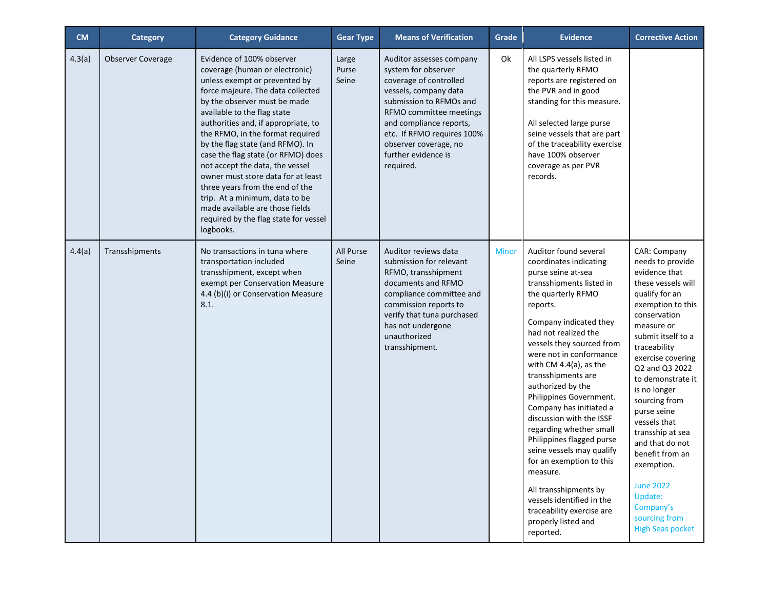| <b>CM</b> | Category                 | <b>Category Guidance</b>                                                                                                                                                                                                                                                                                                                                                                                                                                                                                                                                                                     | <b>Gear Type</b>        | <b>Means of Verification</b>                                                                                                                                                                                                                                                   | Grade        | <b>Evidence</b>                                                                                                                                                                                                                                                                                                                                                                                                                                                                                                                                                                                                                                             | <b>Corrective Action</b>                                                                                                                                                                                                                                                                                                                                                                                                                                                       |
|-----------|--------------------------|----------------------------------------------------------------------------------------------------------------------------------------------------------------------------------------------------------------------------------------------------------------------------------------------------------------------------------------------------------------------------------------------------------------------------------------------------------------------------------------------------------------------------------------------------------------------------------------------|-------------------------|--------------------------------------------------------------------------------------------------------------------------------------------------------------------------------------------------------------------------------------------------------------------------------|--------------|-------------------------------------------------------------------------------------------------------------------------------------------------------------------------------------------------------------------------------------------------------------------------------------------------------------------------------------------------------------------------------------------------------------------------------------------------------------------------------------------------------------------------------------------------------------------------------------------------------------------------------------------------------------|--------------------------------------------------------------------------------------------------------------------------------------------------------------------------------------------------------------------------------------------------------------------------------------------------------------------------------------------------------------------------------------------------------------------------------------------------------------------------------|
| 4.3(a)    | <b>Observer Coverage</b> | Evidence of 100% observer<br>coverage (human or electronic)<br>unless exempt or prevented by<br>force majeure. The data collected<br>by the observer must be made<br>available to the flag state<br>authorities and, if appropriate, to<br>the RFMO, in the format required<br>by the flag state (and RFMO). In<br>case the flag state (or RFMO) does<br>not accept the data, the vessel<br>owner must store data for at least<br>three years from the end of the<br>trip. At a minimum, data to be<br>made available are those fields<br>required by the flag state for vessel<br>logbooks. | Large<br>Purse<br>Seine | Auditor assesses company<br>system for observer<br>coverage of controlled<br>vessels, company data<br>submission to RFMOs and<br>RFMO committee meetings<br>and compliance reports,<br>etc. If RFMO requires 100%<br>observer coverage, no<br>further evidence is<br>required. | Ok           | All LSPS vessels listed in<br>the quarterly RFMO<br>reports are registered on<br>the PVR and in good<br>standing for this measure.<br>All selected large purse<br>seine vessels that are part<br>of the traceability exercise<br>have 100% observer<br>coverage as per PVR<br>records.                                                                                                                                                                                                                                                                                                                                                                      |                                                                                                                                                                                                                                                                                                                                                                                                                                                                                |
| 4.4(a)    | Transshipments           | No transactions in tuna where<br>transportation included<br>transshipment, except when<br>exempt per Conservation Measure<br>4.4 (b)(i) or Conservation Measure<br>8.1.                                                                                                                                                                                                                                                                                                                                                                                                                      | All Purse<br>Seine      | Auditor reviews data<br>submission for relevant<br>RFMO, transshipment<br>documents and RFMO<br>compliance committee and<br>commission reports to<br>verify that tuna purchased<br>has not undergone<br>unauthorized<br>transshipment.                                         | <b>Minor</b> | Auditor found several<br>coordinates indicating<br>purse seine at-sea<br>transshipments listed in<br>the quarterly RFMO<br>reports.<br>Company indicated they<br>had not realized the<br>vessels they sourced from<br>were not in conformance<br>with CM $4.4(a)$ , as the<br>transshipments are<br>authorized by the<br>Philippines Government.<br>Company has initiated a<br>discussion with the ISSF<br>regarding whether small<br>Philippines flagged purse<br>seine vessels may qualify<br>for an exemption to this<br>measure.<br>All transshipments by<br>vessels identified in the<br>traceability exercise are<br>properly listed and<br>reported. | CAR: Company<br>needs to provide<br>evidence that<br>these vessels will<br>qualify for an<br>exemption to this<br>conservation<br>measure or<br>submit itself to a<br>traceability<br>exercise covering<br>Q2 and Q3 2022<br>to demonstrate it<br>is no longer<br>sourcing from<br>purse seine<br>vessels that<br>transship at sea<br>and that do not<br>benefit from an<br>exemption.<br><b>June 2022</b><br>Update:<br>Company's<br>sourcing from<br><b>High Seas pocket</b> |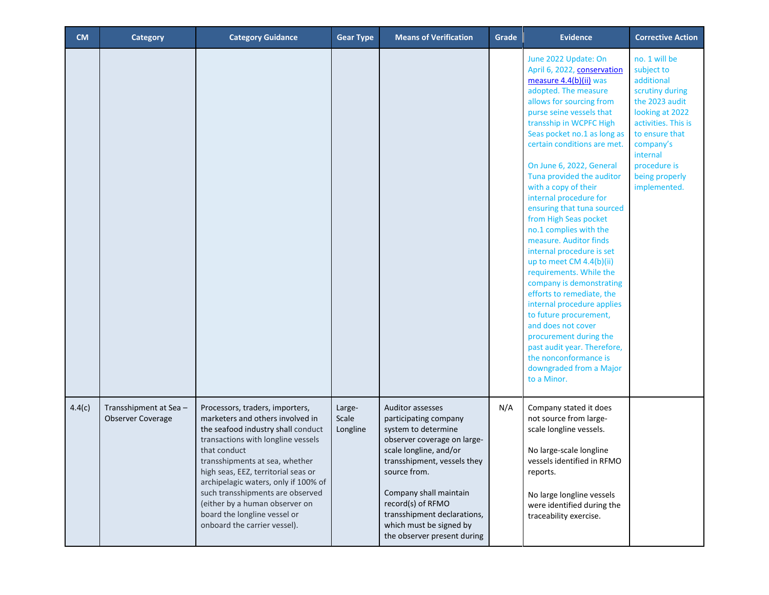| <b>CM</b> | <b>Category</b>                            | <b>Category Guidance</b>                                                                                                                                                                                                                                                                                                                                                                                               | <b>Gear Type</b>            | <b>Means of Verification</b>                                                                                                                                                                                                                                                                                            | Grade | <b>Evidence</b>                                                                                                                                                                                                                                                                                                                                                                                                                                                                                                                                                                                                                                                                                                                                                                                                                     | <b>Corrective Action</b>                                                                                                                                                                                              |
|-----------|--------------------------------------------|------------------------------------------------------------------------------------------------------------------------------------------------------------------------------------------------------------------------------------------------------------------------------------------------------------------------------------------------------------------------------------------------------------------------|-----------------------------|-------------------------------------------------------------------------------------------------------------------------------------------------------------------------------------------------------------------------------------------------------------------------------------------------------------------------|-------|-------------------------------------------------------------------------------------------------------------------------------------------------------------------------------------------------------------------------------------------------------------------------------------------------------------------------------------------------------------------------------------------------------------------------------------------------------------------------------------------------------------------------------------------------------------------------------------------------------------------------------------------------------------------------------------------------------------------------------------------------------------------------------------------------------------------------------------|-----------------------------------------------------------------------------------------------------------------------------------------------------------------------------------------------------------------------|
|           |                                            |                                                                                                                                                                                                                                                                                                                                                                                                                        |                             |                                                                                                                                                                                                                                                                                                                         |       | June 2022 Update: On<br>April 6, 2022, conservation<br>measure 4.4(b)(ii) was<br>adopted. The measure<br>allows for sourcing from<br>purse seine vessels that<br>transship in WCPFC High<br>Seas pocket no.1 as long as<br>certain conditions are met.<br>On June 6, 2022, General<br>Tuna provided the auditor<br>with a copy of their<br>internal procedure for<br>ensuring that tuna sourced<br>from High Seas pocket<br>no.1 complies with the<br>measure. Auditor finds<br>internal procedure is set<br>up to meet CM 4.4(b)(ii)<br>requirements. While the<br>company is demonstrating<br>efforts to remediate, the<br>internal procedure applies<br>to future procurement,<br>and does not cover<br>procurement during the<br>past audit year. Therefore,<br>the nonconformance is<br>downgraded from a Major<br>to a Minor. | no. 1 will be<br>subject to<br>additional<br>scrutiny during<br>the 2023 audit<br>looking at 2022<br>activities. This is<br>to ensure that<br>company's<br>internal<br>procedure is<br>being properly<br>implemented. |
| 4.4(c)    | Transshipment at Sea-<br>Observer Coverage | Processors, traders, importers,<br>marketers and others involved in<br>the seafood industry shall conduct<br>transactions with longline vessels<br>that conduct<br>transshipments at sea, whether<br>high seas, EEZ, territorial seas or<br>archipelagic waters, only if 100% of<br>such transshipments are observed<br>(either by a human observer on<br>board the longline vessel or<br>onboard the carrier vessel). | Large-<br>Scale<br>Longline | <b>Auditor assesses</b><br>participating company<br>system to determine<br>observer coverage on large-<br>scale longline, and/or<br>transshipment, vessels they<br>source from.<br>Company shall maintain<br>record(s) of RFMO<br>transshipment declarations,<br>which must be signed by<br>the observer present during | N/A   | Company stated it does<br>not source from large-<br>scale longline vessels.<br>No large-scale longline<br>vessels identified in RFMO<br>reports.<br>No large longline vessels<br>were identified during the<br>traceability exercise.                                                                                                                                                                                                                                                                                                                                                                                                                                                                                                                                                                                               |                                                                                                                                                                                                                       |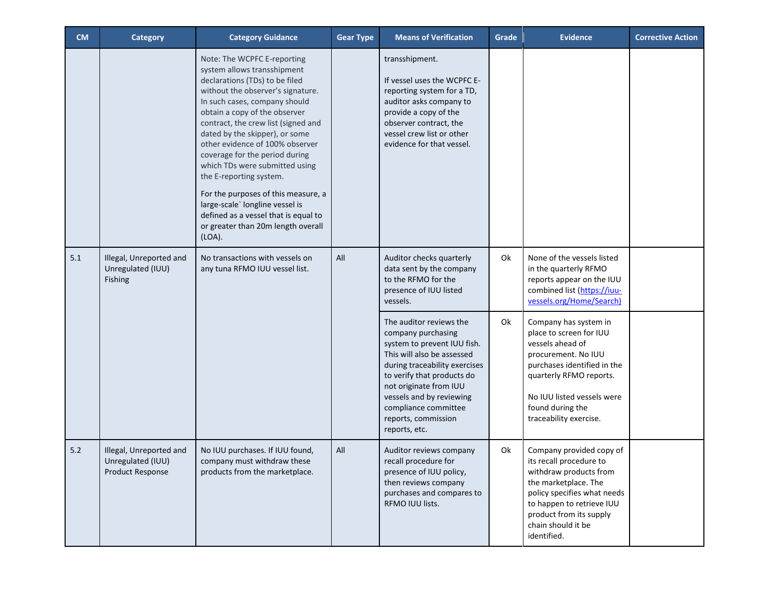| <b>CM</b> | Category                                                                | <b>Category Guidance</b>                                                                                                                                                                                                                                                                                                                                                                                                                                                                                                                                                            | <b>Gear Type</b> | <b>Means of Verification</b>                                                                                                                                                                                                                                                                                                                                                                                         | Grade    | <b>Evidence</b>                                                                                                                                                                                                                                                                                                                                                                  | <b>Corrective Action</b> |
|-----------|-------------------------------------------------------------------------|-------------------------------------------------------------------------------------------------------------------------------------------------------------------------------------------------------------------------------------------------------------------------------------------------------------------------------------------------------------------------------------------------------------------------------------------------------------------------------------------------------------------------------------------------------------------------------------|------------------|----------------------------------------------------------------------------------------------------------------------------------------------------------------------------------------------------------------------------------------------------------------------------------------------------------------------------------------------------------------------------------------------------------------------|----------|----------------------------------------------------------------------------------------------------------------------------------------------------------------------------------------------------------------------------------------------------------------------------------------------------------------------------------------------------------------------------------|--------------------------|
|           |                                                                         | Note: The WCPFC E-reporting<br>system allows transshipment<br>declarations (TDs) to be filed<br>without the observer's signature.<br>In such cases, company should<br>obtain a copy of the observer<br>contract, the crew list (signed and<br>dated by the skipper), or some<br>other evidence of 100% observer<br>coverage for the period during<br>which TDs were submitted using<br>the E-reporting system.<br>For the purposes of this measure, a<br>large-scale' longline vessel is<br>defined as a vessel that is equal to<br>or greater than 20m length overall<br>$(LOA)$ . |                  | transshipment.<br>If vessel uses the WCPFC E-<br>reporting system for a TD,<br>auditor asks company to<br>provide a copy of the<br>observer contract, the<br>vessel crew list or other<br>evidence for that vessel.                                                                                                                                                                                                  |          |                                                                                                                                                                                                                                                                                                                                                                                  |                          |
| 5.1       | Illegal, Unreported and<br>Unregulated (IUU)<br>Fishing                 | No transactions with vessels on<br>any tuna RFMO IUU vessel list.                                                                                                                                                                                                                                                                                                                                                                                                                                                                                                                   | All              | Auditor checks quarterly<br>data sent by the company<br>to the RFMO for the<br>presence of IUU listed<br>vessels.<br>The auditor reviews the<br>company purchasing<br>system to prevent IUU fish.<br>This will also be assessed<br>during traceability exercises<br>to verify that products do<br>not originate from IUU<br>vessels and by reviewing<br>compliance committee<br>reports, commission<br>reports, etc. | 0k<br>0k | None of the vessels listed<br>in the quarterly RFMO<br>reports appear on the IUU<br>combined list (https://iuu-<br>vessels.org/Home/Search)<br>Company has system in<br>place to screen for IUU<br>vessels ahead of<br>procurement. No IUU<br>purchases identified in the<br>quarterly RFMO reports.<br>No IUU listed vessels were<br>found during the<br>traceability exercise. |                          |
| 5.2       | Illegal, Unreported and<br>Unregulated (IUU)<br><b>Product Response</b> | No IUU purchases. If IUU found,<br>company must withdraw these<br>products from the marketplace.                                                                                                                                                                                                                                                                                                                                                                                                                                                                                    | All              | Auditor reviews company<br>recall procedure for<br>presence of IUU policy,<br>then reviews company<br>purchases and compares to<br>RFMO IUU lists.                                                                                                                                                                                                                                                                   | 0k       | Company provided copy of<br>its recall procedure to<br>withdraw products from<br>the marketplace. The<br>policy specifies what needs<br>to happen to retrieve IUU<br>product from its supply<br>chain should it be<br>identified.                                                                                                                                                |                          |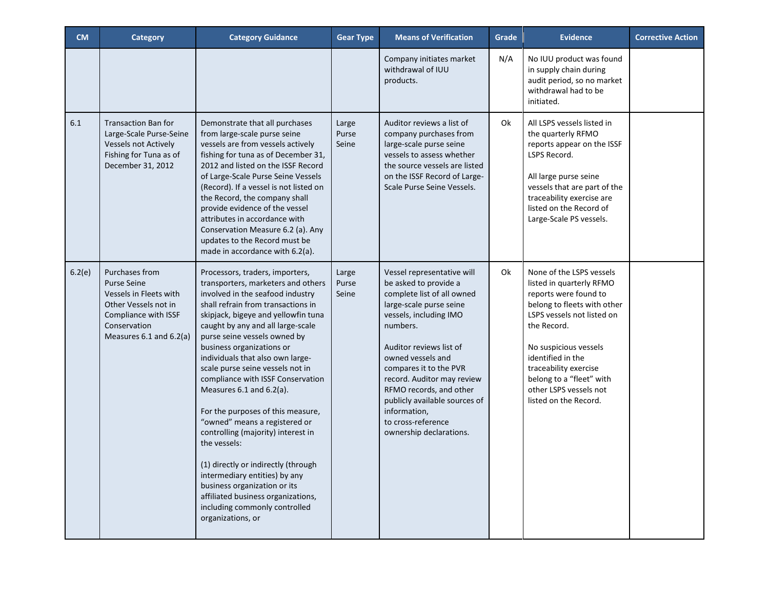| <b>CM</b> | Category                                                                                                                                                  | <b>Category Guidance</b>                                                                                                                                                                                                                                                                                                                                                                                                                                                                                                                                                                                                                                                                                                                                          | <b>Gear Type</b>        | <b>Means of Verification</b>                                                                                                                                                                                                                                                                                                                                                            | Grade | <b>Evidence</b>                                                                                                                                                                                                                                                                                                 | <b>Corrective Action</b> |
|-----------|-----------------------------------------------------------------------------------------------------------------------------------------------------------|-------------------------------------------------------------------------------------------------------------------------------------------------------------------------------------------------------------------------------------------------------------------------------------------------------------------------------------------------------------------------------------------------------------------------------------------------------------------------------------------------------------------------------------------------------------------------------------------------------------------------------------------------------------------------------------------------------------------------------------------------------------------|-------------------------|-----------------------------------------------------------------------------------------------------------------------------------------------------------------------------------------------------------------------------------------------------------------------------------------------------------------------------------------------------------------------------------------|-------|-----------------------------------------------------------------------------------------------------------------------------------------------------------------------------------------------------------------------------------------------------------------------------------------------------------------|--------------------------|
|           |                                                                                                                                                           |                                                                                                                                                                                                                                                                                                                                                                                                                                                                                                                                                                                                                                                                                                                                                                   |                         | Company initiates market<br>withdrawal of IUU<br>products.                                                                                                                                                                                                                                                                                                                              | N/A   | No IUU product was found<br>in supply chain during<br>audit period, so no market<br>withdrawal had to be<br>initiated.                                                                                                                                                                                          |                          |
| 6.1       | <b>Transaction Ban for</b><br>Large-Scale Purse-Seine<br><b>Vessels not Actively</b><br>Fishing for Tuna as of<br>December 31, 2012                       | Demonstrate that all purchases<br>from large-scale purse seine<br>vessels are from vessels actively<br>fishing for tuna as of December 31,<br>2012 and listed on the ISSF Record<br>of Large-Scale Purse Seine Vessels<br>(Record). If a vessel is not listed on<br>the Record, the company shall<br>provide evidence of the vessel<br>attributes in accordance with<br>Conservation Measure 6.2 (a). Any<br>updates to the Record must be<br>made in accordance with 6.2(a).                                                                                                                                                                                                                                                                                     | Large<br>Purse<br>Seine | Auditor reviews a list of<br>company purchases from<br>large-scale purse seine<br>vessels to assess whether<br>the source vessels are listed<br>on the ISSF Record of Large-<br>Scale Purse Seine Vessels.                                                                                                                                                                              | 0k    | All LSPS vessels listed in<br>the quarterly RFMO<br>reports appear on the ISSF<br>LSPS Record.<br>All large purse seine<br>vessels that are part of the<br>traceability exercise are<br>listed on the Record of<br>Large-Scale PS vessels.                                                                      |                          |
| 6.2(e)    | Purchases from<br><b>Purse Seine</b><br>Vessels in Fleets with<br>Other Vessels not in<br>Compliance with ISSF<br>Conservation<br>Measures 6.1 and 6.2(a) | Processors, traders, importers,<br>transporters, marketers and others<br>involved in the seafood industry<br>shall refrain from transactions in<br>skipjack, bigeye and yellowfin tuna<br>caught by any and all large-scale<br>purse seine vessels owned by<br>business organizations or<br>individuals that also own large-<br>scale purse seine vessels not in<br>compliance with ISSF Conservation<br>Measures 6.1 and 6.2(a).<br>For the purposes of this measure,<br>"owned" means a registered or<br>controlling (majority) interest in<br>the vessels:<br>(1) directly or indirectly (through<br>intermediary entities) by any<br>business organization or its<br>affiliated business organizations,<br>including commonly controlled<br>organizations, or | Large<br>Purse<br>Seine | Vessel representative will<br>be asked to provide a<br>complete list of all owned<br>large-scale purse seine<br>vessels, including IMO<br>numbers.<br>Auditor reviews list of<br>owned vessels and<br>compares it to the PVR<br>record. Auditor may review<br>RFMO records, and other<br>publicly available sources of<br>information,<br>to cross-reference<br>ownership declarations. | Ok    | None of the LSPS vessels<br>listed in quarterly RFMO<br>reports were found to<br>belong to fleets with other<br>LSPS vessels not listed on<br>the Record.<br>No suspicious vessels<br>identified in the<br>traceability exercise<br>belong to a "fleet" with<br>other LSPS vessels not<br>listed on the Record. |                          |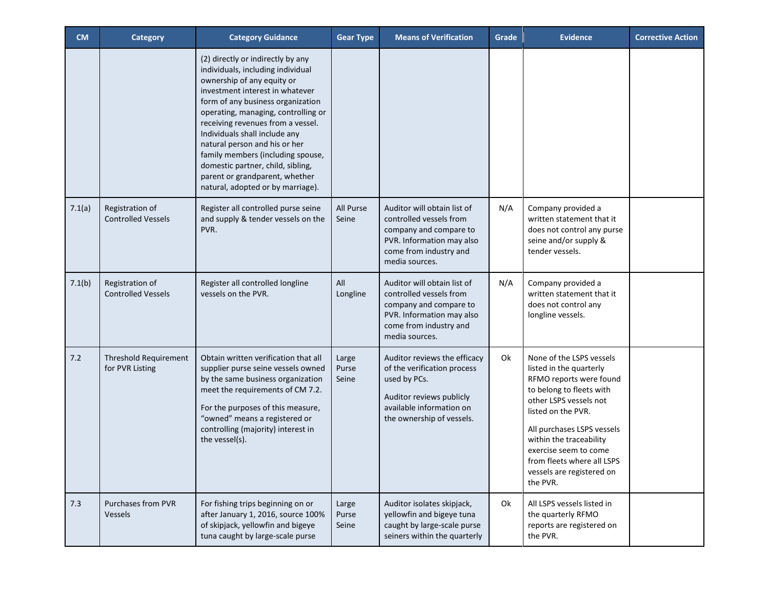| <b>CM</b> | Category                                     | <b>Category Guidance</b>                                                                                                                                                                                                                                                                                                                                                                                                                                                    | <b>Gear Type</b>        | <b>Means of Verification</b>                                                                                                                                     | Grade | <b>Evidence</b>                                                                                                                                                                                                                                                                                                     | <b>Corrective Action</b> |
|-----------|----------------------------------------------|-----------------------------------------------------------------------------------------------------------------------------------------------------------------------------------------------------------------------------------------------------------------------------------------------------------------------------------------------------------------------------------------------------------------------------------------------------------------------------|-------------------------|------------------------------------------------------------------------------------------------------------------------------------------------------------------|-------|---------------------------------------------------------------------------------------------------------------------------------------------------------------------------------------------------------------------------------------------------------------------------------------------------------------------|--------------------------|
|           |                                              | (2) directly or indirectly by any<br>individuals, including individual<br>ownership of any equity or<br>investment interest in whatever<br>form of any business organization<br>operating, managing, controlling or<br>receiving revenues from a vessel.<br>Individuals shall include any<br>natural person and his or her<br>family members (including spouse,<br>domestic partner, child, sibling,<br>parent or grandparent, whether<br>natural, adopted or by marriage). |                         |                                                                                                                                                                  |       |                                                                                                                                                                                                                                                                                                                     |                          |
| 7.1(a)    | Registration of<br><b>Controlled Vessels</b> | Register all controlled purse seine<br>and supply & tender vessels on the<br>PVR.                                                                                                                                                                                                                                                                                                                                                                                           | All Purse<br>Seine      | Auditor will obtain list of<br>controlled vessels from<br>company and compare to<br>PVR. Information may also<br>come from industry and<br>media sources.        | N/A   | Company provided a<br>written statement that it<br>does not control any purse<br>seine and/or supply &<br>tender vessels.                                                                                                                                                                                           |                          |
| 7.1(b)    | Registration of<br><b>Controlled Vessels</b> | Register all controlled longline<br>vessels on the PVR.                                                                                                                                                                                                                                                                                                                                                                                                                     | All<br>Longline         | Auditor will obtain list of<br>controlled vessels from<br>company and compare to<br>PVR. Information may also<br>come from industry and<br>media sources.        | N/A   | Company provided a<br>written statement that it<br>does not control any<br>longline vessels.                                                                                                                                                                                                                        |                          |
| 7.2       | Threshold Requirement<br>for PVR Listing     | Obtain written verification that all<br>supplier purse seine vessels owned<br>by the same business organization<br>meet the requirements of CM 7.2.<br>For the purposes of this measure,<br>"owned" means a registered or<br>controlling (majority) interest in<br>the vessel(s).                                                                                                                                                                                           | Large<br>Purse<br>Seine | Auditor reviews the efficacy<br>of the verification process<br>used by PCs.<br>Auditor reviews publicly<br>available information on<br>the ownership of vessels. | Ok    | None of the LSPS vessels<br>listed in the quarterly<br>RFMO reports were found<br>to belong to fleets with<br>other LSPS vessels not<br>listed on the PVR.<br>All purchases LSPS vessels<br>within the traceability<br>exercise seem to come<br>from fleets where all LSPS<br>vessels are registered on<br>the PVR. |                          |
| 7.3       | <b>Purchases from PVR</b><br><b>Vessels</b>  | For fishing trips beginning on or<br>after January 1, 2016, source 100%<br>of skipjack, yellowfin and bigeye<br>tuna caught by large-scale purse                                                                                                                                                                                                                                                                                                                            | Large<br>Purse<br>Seine | Auditor isolates skipjack,<br>yellowfin and bigeye tuna<br>caught by large-scale purse<br>seiners within the quarterly                                           | 0k    | All LSPS vessels listed in<br>the quarterly RFMO<br>reports are registered on<br>the PVR.                                                                                                                                                                                                                           |                          |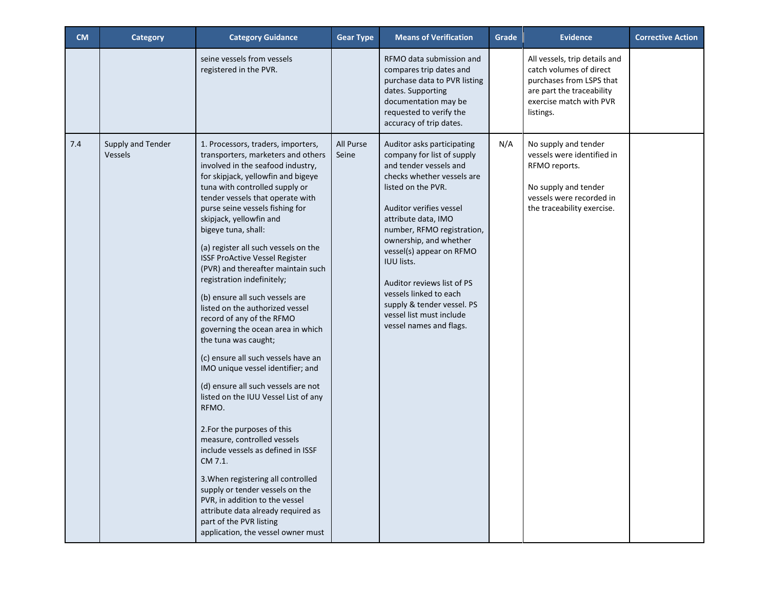| <b>CM</b> | Category                            | <b>Category Guidance</b>                                                                                                                                                                                                                                                                                                                                                                                                                                                                                                                                                                                                                                                                                                                                                                                                                                                                                                                                                                                                                                                                                                               | <b>Gear Type</b>   | <b>Means of Verification</b>                                                                                                                                                                                                                                                                                                                                                                                                                   | Grade | <b>Evidence</b>                                                                                                                                           | <b>Corrective Action</b> |
|-----------|-------------------------------------|----------------------------------------------------------------------------------------------------------------------------------------------------------------------------------------------------------------------------------------------------------------------------------------------------------------------------------------------------------------------------------------------------------------------------------------------------------------------------------------------------------------------------------------------------------------------------------------------------------------------------------------------------------------------------------------------------------------------------------------------------------------------------------------------------------------------------------------------------------------------------------------------------------------------------------------------------------------------------------------------------------------------------------------------------------------------------------------------------------------------------------------|--------------------|------------------------------------------------------------------------------------------------------------------------------------------------------------------------------------------------------------------------------------------------------------------------------------------------------------------------------------------------------------------------------------------------------------------------------------------------|-------|-----------------------------------------------------------------------------------------------------------------------------------------------------------|--------------------------|
|           |                                     | seine vessels from vessels<br>registered in the PVR.                                                                                                                                                                                                                                                                                                                                                                                                                                                                                                                                                                                                                                                                                                                                                                                                                                                                                                                                                                                                                                                                                   |                    | RFMO data submission and<br>compares trip dates and<br>purchase data to PVR listing<br>dates. Supporting<br>documentation may be<br>requested to verify the<br>accuracy of trip dates.                                                                                                                                                                                                                                                         |       | All vessels, trip details and<br>catch volumes of direct<br>purchases from LSPS that<br>are part the traceability<br>exercise match with PVR<br>listings. |                          |
| 7.4       | Supply and Tender<br><b>Vessels</b> | 1. Processors, traders, importers,<br>transporters, marketers and others<br>involved in the seafood industry,<br>for skipjack, yellowfin and bigeye<br>tuna with controlled supply or<br>tender vessels that operate with<br>purse seine vessels fishing for<br>skipjack, yellowfin and<br>bigeye tuna, shall:<br>(a) register all such vessels on the<br><b>ISSF ProActive Vessel Register</b><br>(PVR) and thereafter maintain such<br>registration indefinitely;<br>(b) ensure all such vessels are<br>listed on the authorized vessel<br>record of any of the RFMO<br>governing the ocean area in which<br>the tuna was caught;<br>(c) ensure all such vessels have an<br>IMO unique vessel identifier; and<br>(d) ensure all such vessels are not<br>listed on the IUU Vessel List of any<br>RFMO.<br>2.For the purposes of this<br>measure, controlled vessels<br>include vessels as defined in ISSF<br>CM 7.1<br>3. When registering all controlled<br>supply or tender vessels on the<br>PVR, in addition to the vessel<br>attribute data already required as<br>part of the PVR listing<br>application, the vessel owner must | All Purse<br>Seine | Auditor asks participating<br>company for list of supply<br>and tender vessels and<br>checks whether vessels are<br>listed on the PVR.<br>Auditor verifies vessel<br>attribute data, IMO<br>number, RFMO registration,<br>ownership, and whether<br>vessel(s) appear on RFMO<br><b>IUU lists.</b><br>Auditor reviews list of PS<br>vessels linked to each<br>supply & tender vessel. PS<br>vessel list must include<br>vessel names and flags. | N/A   | No supply and tender<br>vessels were identified in<br>RFMO reports.<br>No supply and tender<br>vessels were recorded in<br>the traceability exercise.     |                          |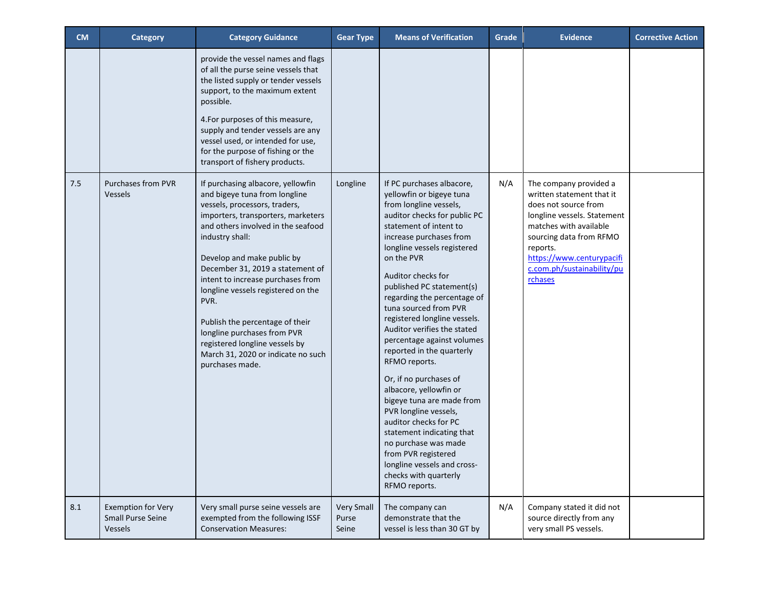| <b>CM</b> | Category                                                         | <b>Category Guidance</b>                                                                                                                                                                                                                                                                                                                                                                                                                                                                                             | <b>Gear Type</b>                    | <b>Means of Verification</b>                                                                                                                                                                                                                                                                                                                                                                                                                                                                                                                                                                                                                                                                                                                                    | Grade | <b>Evidence</b>                                                                                                                                                                                                                                   | <b>Corrective Action</b> |
|-----------|------------------------------------------------------------------|----------------------------------------------------------------------------------------------------------------------------------------------------------------------------------------------------------------------------------------------------------------------------------------------------------------------------------------------------------------------------------------------------------------------------------------------------------------------------------------------------------------------|-------------------------------------|-----------------------------------------------------------------------------------------------------------------------------------------------------------------------------------------------------------------------------------------------------------------------------------------------------------------------------------------------------------------------------------------------------------------------------------------------------------------------------------------------------------------------------------------------------------------------------------------------------------------------------------------------------------------------------------------------------------------------------------------------------------------|-------|---------------------------------------------------------------------------------------------------------------------------------------------------------------------------------------------------------------------------------------------------|--------------------------|
|           |                                                                  | provide the vessel names and flags<br>of all the purse seine vessels that<br>the listed supply or tender vessels<br>support, to the maximum extent<br>possible.<br>4.For purposes of this measure,<br>supply and tender vessels are any<br>vessel used, or intended for use,<br>for the purpose of fishing or the<br>transport of fishery products.                                                                                                                                                                  |                                     |                                                                                                                                                                                                                                                                                                                                                                                                                                                                                                                                                                                                                                                                                                                                                                 |       |                                                                                                                                                                                                                                                   |                          |
| 7.5       | <b>Purchases from PVR</b><br><b>Vessels</b>                      | If purchasing albacore, yellowfin<br>and bigeye tuna from longline<br>vessels, processors, traders,<br>importers, transporters, marketers<br>and others involved in the seafood<br>industry shall:<br>Develop and make public by<br>December 31, 2019 a statement of<br>intent to increase purchases from<br>longline vessels registered on the<br>PVR.<br>Publish the percentage of their<br>longline purchases from PVR<br>registered longline vessels by<br>March 31, 2020 or indicate no such<br>purchases made. | Longline                            | If PC purchases albacore,<br>yellowfin or bigeye tuna<br>from longline vessels,<br>auditor checks for public PC<br>statement of intent to<br>increase purchases from<br>longline vessels registered<br>on the PVR<br>Auditor checks for<br>published PC statement(s)<br>regarding the percentage of<br>tuna sourced from PVR<br>registered longline vessels.<br>Auditor verifies the stated<br>percentage against volumes<br>reported in the quarterly<br>RFMO reports.<br>Or, if no purchases of<br>albacore, yellowfin or<br>bigeye tuna are made from<br>PVR longline vessels,<br>auditor checks for PC<br>statement indicating that<br>no purchase was made<br>from PVR registered<br>longline vessels and cross-<br>checks with quarterly<br>RFMO reports. | N/A   | The company provided a<br>written statement that it<br>does not source from<br>longline vessels. Statement<br>matches with available<br>sourcing data from RFMO<br>reports.<br>https://www.centurypacifi<br>c.com.ph/sustainability/pu<br>rchases |                          |
| 8.1       | <b>Exemption for Very</b><br><b>Small Purse Seine</b><br>Vessels | Very small purse seine vessels are<br>exempted from the following ISSF<br><b>Conservation Measures:</b>                                                                                                                                                                                                                                                                                                                                                                                                              | <b>Very Small</b><br>Purse<br>Seine | The company can<br>demonstrate that the<br>vessel is less than 30 GT by                                                                                                                                                                                                                                                                                                                                                                                                                                                                                                                                                                                                                                                                                         | N/A   | Company stated it did not<br>source directly from any<br>very small PS vessels.                                                                                                                                                                   |                          |